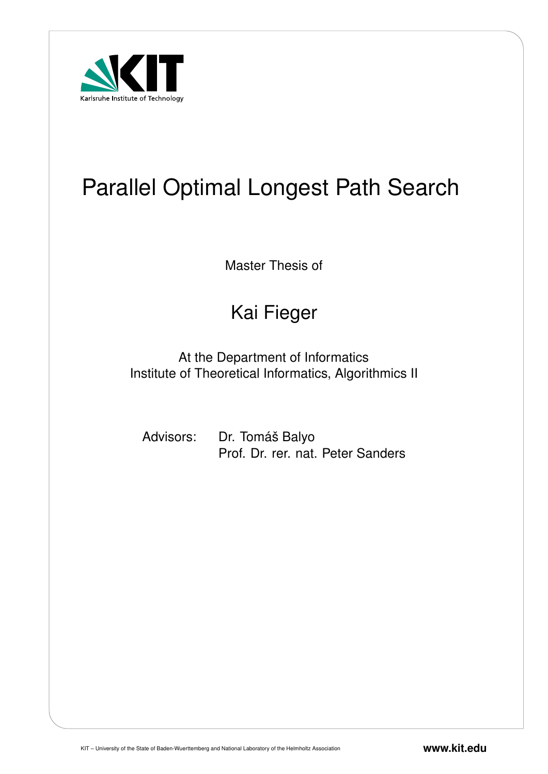

# Parallel Optimal Longest Path Search

Master Thesis of

## Kai Fieger

At the Department of Informatics Institute of Theoretical Informatics, Algorithmics II

Advisors: Dr. Tomáš Balyo Prof. Dr. rer. nat. Peter Sanders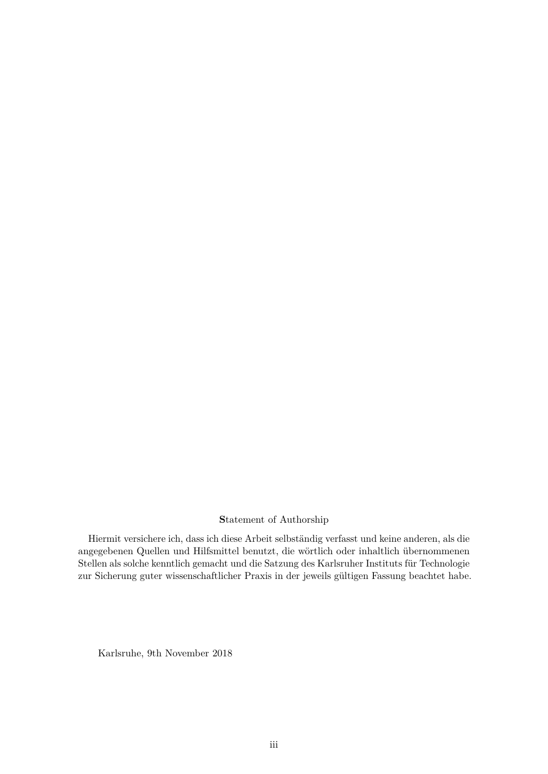#### **S**tatement of Authorship

Hiermit versichere ich, dass ich diese Arbeit selbständig verfasst und keine anderen, als die angegebenen Quellen und Hilfsmittel benutzt, die wörtlich oder inhaltlich übernommenen Stellen als solche kenntlich gemacht und die Satzung des Karlsruher Instituts für Technologie zur Sicherung guter wissenschaftlicher Praxis in der jeweils gültigen Fassung beachtet habe.

Karlsruhe, 9th November 2018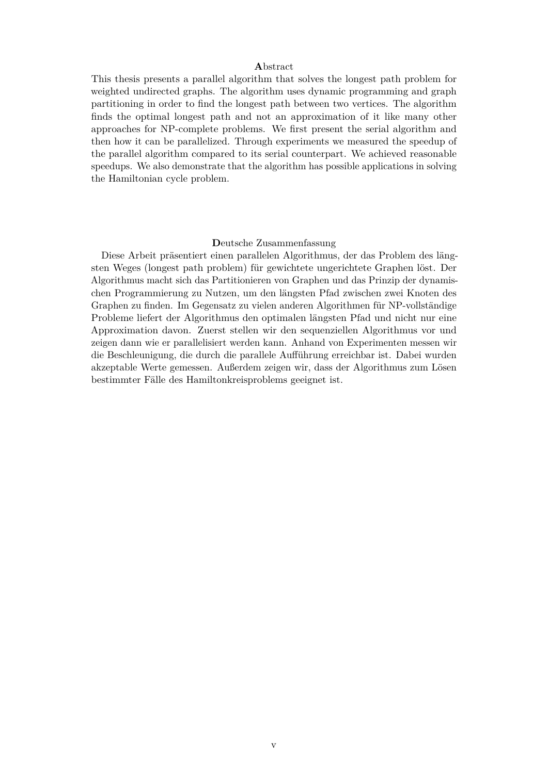#### **A**bstract

This thesis presents a parallel algorithm that solves the longest path problem for weighted undirected graphs. The algorithm uses dynamic programming and graph partitioning in order to find the longest path between two vertices. The algorithm finds the optimal longest path and not an approximation of it like many other approaches for NP-complete problems. We first present the serial algorithm and then how it can be parallelized. Through experiments we measured the speedup of the parallel algorithm compared to its serial counterpart. We achieved reasonable speedups. We also demonstrate that the algorithm has possible applications in solving the Hamiltonian cycle problem.

#### **D**eutsche Zusammenfassung

Diese Arbeit präsentiert einen parallelen Algorithmus, der das Problem des längsten Weges (longest path problem) für gewichtete ungerichtete Graphen löst. Der Algorithmus macht sich das Partitionieren von Graphen und das Prinzip der dynamischen Programmierung zu Nutzen, um den längsten Pfad zwischen zwei Knoten des Graphen zu finden. Im Gegensatz zu vielen anderen Algorithmen für NP-vollständige Probleme liefert der Algorithmus den optimalen längsten Pfad und nicht nur eine Approximation davon. Zuerst stellen wir den sequenziellen Algorithmus vor und zeigen dann wie er parallelisiert werden kann. Anhand von Experimenten messen wir die Beschleunigung, die durch die parallele Aufführung erreichbar ist. Dabei wurden akzeptable Werte gemessen. Außerdem zeigen wir, dass der Algorithmus zum Lösen bestimmter Fälle des Hamiltonkreisproblems geeignet ist.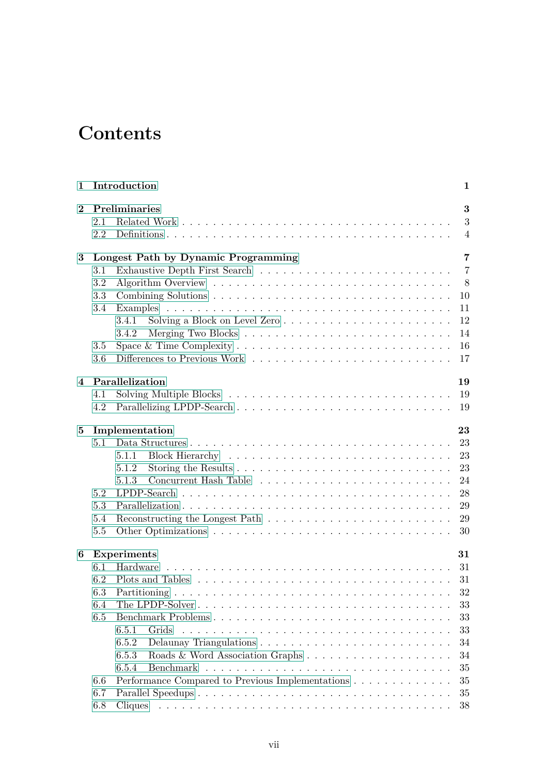## **Contents**

| 1              |            | Introduction                                                                                                    | 1                        |
|----------------|------------|-----------------------------------------------------------------------------------------------------------------|--------------------------|
| $\bf{2}$       | 2.1<br>2.2 | Preliminaries                                                                                                   | 3<br>3<br>$\overline{4}$ |
| 3              |            | Longest Path by Dynamic Programming                                                                             | $\overline{7}$           |
|                | 3.1        | Exhaustive Depth First Search $\ldots \ldots \ldots \ldots \ldots \ldots \ldots \ldots \ldots$                  | $\overline{7}$           |
|                | 3.2        |                                                                                                                 | 8                        |
|                | 3.3        |                                                                                                                 | 10                       |
|                | 3.4        |                                                                                                                 | 11                       |
|                |            | 3.4.1                                                                                                           | 12                       |
|                |            | 3.4.2                                                                                                           | 14                       |
|                | 3.5        | Space & Time Complexity $\dots \dots \dots \dots \dots \dots \dots \dots \dots \dots \dots$                     | 16                       |
|                | 3.6        |                                                                                                                 | 17                       |
| $\overline{4}$ |            | Parallelization                                                                                                 | 19                       |
|                | 4.1        |                                                                                                                 | 19                       |
|                | 4.2        |                                                                                                                 | 19                       |
| 5              |            | Implementation                                                                                                  | 23                       |
|                | 5.1        |                                                                                                                 | 23                       |
|                |            | 5.1.1                                                                                                           | 23                       |
|                |            | 5.1.2                                                                                                           | 23                       |
|                |            | 5.1.3                                                                                                           | 24                       |
|                | 5.2        |                                                                                                                 | 28                       |
|                | 5.3        |                                                                                                                 | 29                       |
|                | 5.4        |                                                                                                                 | 29                       |
|                | 5.5        |                                                                                                                 | 30                       |
| 6              |            | Experiments                                                                                                     | 31                       |
|                | 6.1        | Hardware                                                                                                        | 31                       |
|                | 6.2        |                                                                                                                 | 31                       |
|                |            | 6.3 Partitioning<br><u>. In the second contract of the second contract of the second contract of the second</u> | 32                       |
|                | 6.4        |                                                                                                                 | 33                       |
|                | 6.5        | Benchmark Problems                                                                                              | 33                       |
|                |            | 6.5.1<br>Grids                                                                                                  | 33                       |
|                |            | 6.5.2                                                                                                           | 34                       |
|                |            | 6.5.3                                                                                                           | 34                       |
|                |            | 6.5.4                                                                                                           | 35                       |
|                | 6.6        | Performance Compared to Previous Implementations                                                                | 35                       |
|                | 6.7        |                                                                                                                 | 35                       |
|                | 6.8        |                                                                                                                 | 38                       |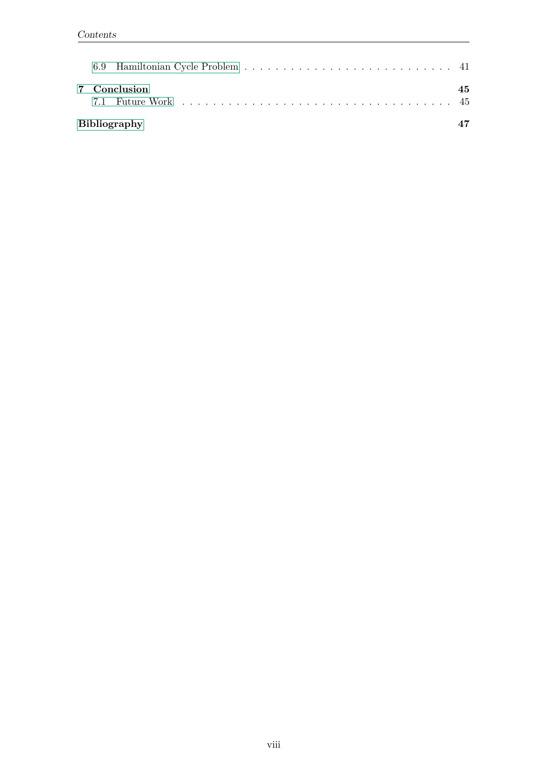| 7 Conclusion        | 45 |  |
|---------------------|----|--|
| <b>Bibliography</b> |    |  |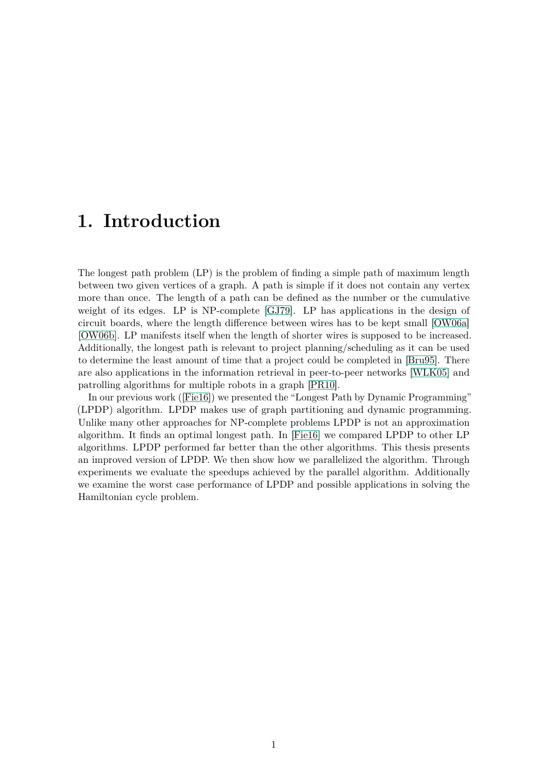## <span id="page-8-0"></span>**1. Introduction**

The longest path problem (LP) is the problem of finding a simple path of maximum length between two given vertices of a graph. A path is simple if it does not contain any vertex more than once. The length of a path can be defined as the number or the cumulative weight of its edges. LP is NP-complete [\[GJ79\]](#page-54-1). LP has applications in the design of circuit boards, where the length difference between wires has to be kept small [\[OW06a\]](#page-54-2) [\[OW06b\]](#page-55-0). LP manifests itself when the length of shorter wires is supposed to be increased. Additionally, the longest path is relevant to project planning/scheduling as it can be used to determine the least amount of time that a project could be completed in [\[Bru95\]](#page-54-3). There are also applications in the information retrieval in peer-to-peer networks [\[WLK05\]](#page-55-1) and patrolling algorithms for multiple robots in a graph [\[PR10\]](#page-55-2).

In our previous work ([\[Fie16\]](#page-54-4)) we presented the "Longest Path by Dynamic Programming" (LPDP) algorithm. LPDP makes use of graph partitioning and dynamic programming. Unlike many other approaches for NP-complete problems LPDP is not an approximation algorithm. It finds an optimal longest path. In [\[Fie16\]](#page-54-4) we compared LPDP to other LP algorithms. LPDP performed far better than the other algorithms. This thesis presents an improved version of LPDP. We then show how we parallelized the algorithm. Through experiments we evaluate the speedups achieved by the parallel algorithm. Additionally we examine the worst case performance of LPDP and possible applications in solving the Hamiltonian cycle problem.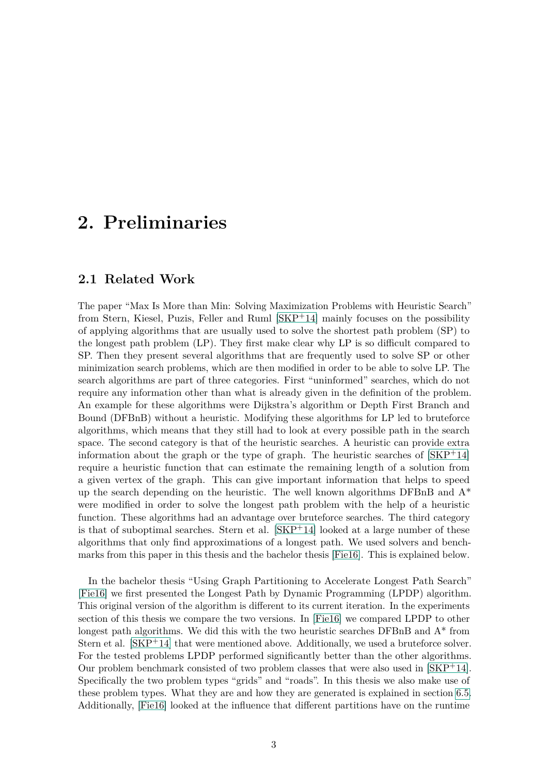## <span id="page-10-0"></span>**2. Preliminaries**

#### <span id="page-10-1"></span>**2.1 Related Work**

The paper "Max Is More than Min: Solving Maximization Problems with Heuristic Search" from Stern, Kiesel, Puzis, Feller and Ruml [\[SKP](#page-55-3)+14] mainly focuses on the possibility of applying algorithms that are usually used to solve the shortest path problem (SP) to the longest path problem (LP). They first make clear why LP is so difficult compared to SP. Then they present several algorithms that are frequently used to solve SP or other minimization search problems, which are then modified in order to be able to solve LP. The search algorithms are part of three categories. First "uninformed" searches, which do not require any information other than what is already given in the definition of the problem. An example for these algorithms were Dijkstra's algorithm or Depth First Branch and Bound (DFBnB) without a heuristic. Modifying these algorithms for LP led to bruteforce algorithms, which means that they still had to look at every possible path in the search space. The second category is that of the heuristic searches. A heuristic can provide extra information about the graph or the type of graph. The heuristic searches of  $[SKP^+14]$  $[SKP^+14]$ require a heuristic function that can estimate the remaining length of a solution from a given vertex of the graph. This can give important information that helps to speed up the search depending on the heuristic. The well known algorithms  $DFBnB$  and  $A^*$ were modified in order to solve the longest path problem with the help of a heuristic function. These algorithms had an advantage over bruteforce searches. The third category is that of suboptimal searches. Stern et al.  $[SKP+14]$  $[SKP+14]$  looked at a large number of these algorithms that only find approximations of a longest path. We used solvers and benchmarks from this paper in this thesis and the bachelor thesis [\[Fie16\]](#page-54-4). This is explained below.

In the bachelor thesis "Using Graph Partitioning to Accelerate Longest Path Search" [\[Fie16\]](#page-54-4) we first presented the Longest Path by Dynamic Programming (LPDP) algorithm. This original version of the algorithm is different to its current iteration. In the experiments section of this thesis we compare the two versions. In [\[Fie16\]](#page-54-4) we compared LPDP to other longest path algorithms. We did this with the two heuristic searches DFBnB and A\* from Stern et al.  $[SKP^+14]$  $[SKP^+14]$  that were mentioned above. Additionally, we used a bruteforce solver. For the tested problems LPDP performed significantly better than the other algorithms. Our problem benchmark consisted of two problem classes that were also used in  $|SKP^+14|$ . Specifically the two problem types "grids" and "roads". In this thesis we also make use of these problem types. What they are and how they are generated is explained in section [6.5.](#page-40-1) Additionally, [\[Fie16\]](#page-54-4) looked at the influence that different partitions have on the runtime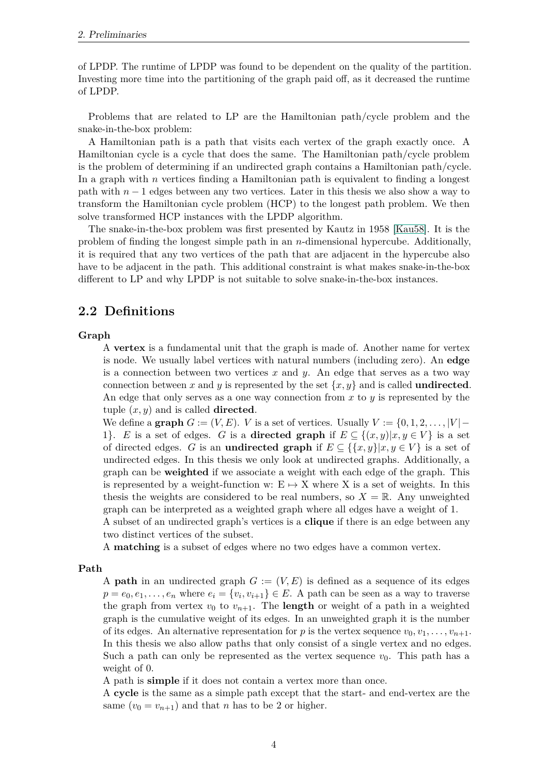of LPDP. The runtime of LPDP was found to be dependent on the quality of the partition. Investing more time into the partitioning of the graph paid off, as it decreased the runtime of LPDP.

Problems that are related to LP are the Hamiltonian path/cycle problem and the snake-in-the-box problem:

A Hamiltonian path is a path that visits each vertex of the graph exactly once. A Hamiltonian cycle is a cycle that does the same. The Hamiltonian path/cycle problem is the problem of determining if an undirected graph contains a Hamiltonian path/cycle. In a graph with *n* vertices finding a Hamiltonian path is equivalent to finding a longest path with  $n-1$  edges between any two vertices. Later in this thesis we also show a way to transform the Hamiltonian cycle problem (HCP) to the longest path problem. We then solve transformed HCP instances with the LPDP algorithm.

The snake-in-the-box problem was first presented by Kautz in 1958 [\[Kau58\]](#page-54-5). It is the problem of finding the longest simple path in an *n*-dimensional hypercube. Additionally, it is required that any two vertices of the path that are adjacent in the hypercube also have to be adjacent in the path. This additional constraint is what makes snake-in-the-box different to LP and why LPDP is not suitable to solve snake-in-the-box instances.

#### <span id="page-11-0"></span>**2.2 Definitions**

#### **Graph**

A **vertex** is a fundamental unit that the graph is made of. Another name for vertex is node. We usually label vertices with natural numbers (including zero). An **edge** is a connection between two vertices *x* and *y*. An edge that serves as a two way connection between *x* and *y* is represented by the set  $\{x, y\}$  and is called **undirected**. An edge that only serves as a one way connection from *x* to *y* is represented by the tuple (*x, y*) and is called **directed**.

We define a **graph**  $G := (V, E)$ . *V* is a set of vertices. Usually  $V := \{0, 1, 2, \ldots, |V| -$ 1}. *E* is a set of edges. *G* is a **directed graph** if  $E \subseteq \{(x, y)|x, y \in V\}$  is a set of directed edges. *G* is an **undirected graph** if  $E \subseteq \{\{x, y\}|x, y \in V\}$  is a set of undirected edges. In this thesis we only look at undirected graphs. Additionally, a graph can be **weighted** if we associate a weight with each edge of the graph. This is represented by a weight-function w:  $E \rightarrow X$  where X is a set of weights. In this thesis the weights are considered to be real numbers, so  $X = \mathbb{R}$ . Any unweighted graph can be interpreted as a weighted graph where all edges have a weight of 1.

A subset of an undirected graph's vertices is a **clique** if there is an edge between any two distinct vertices of the subset.

A **matching** is a subset of edges where no two edges have a common vertex.

#### **Path**

A **path** in an undirected graph  $G := (V, E)$  is defined as a sequence of its edges  $p = e_0, e_1, \ldots, e_n$  where  $e_i = \{v_i, v_{i+1}\} \in E$ . A path can be seen as a way to traverse the graph from vertex  $v_0$  to  $v_{n+1}$ . The **length** or weight of a path in a weighted graph is the cumulative weight of its edges. In an unweighted graph it is the number of its edges. An alternative representation for *p* is the vertex sequence  $v_0, v_1, \ldots, v_{n+1}$ . In this thesis we also allow paths that only consist of a single vertex and no edges. Such a path can only be represented as the vertex sequence  $v_0$ . This path has a weight of 0.

A path is **simple** if it does not contain a vertex more than once.

A **cycle** is the same as a simple path except that the start- and end-vertex are the same  $(v_0 = v_{n+1})$  and that *n* has to be 2 or higher.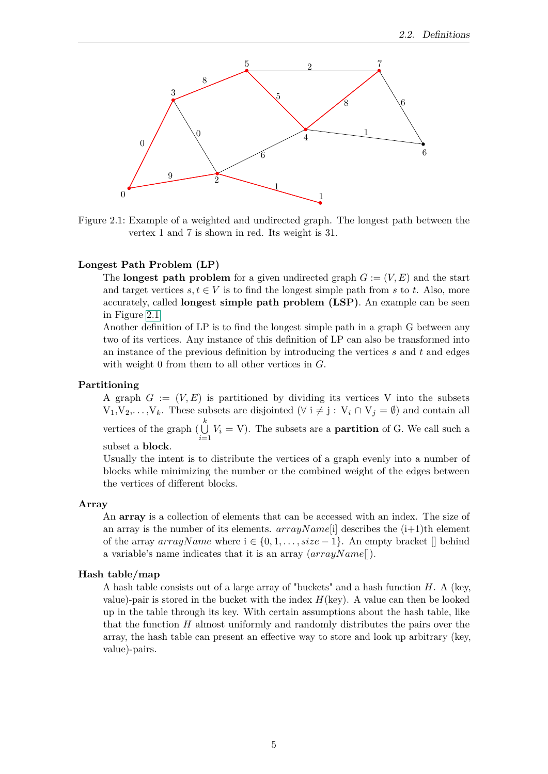

<span id="page-12-0"></span>Figure 2.1: Example of a weighted and undirected graph. The longest path between the vertex 1 and 7 is shown in red. Its weight is 31.

#### **Longest Path Problem (LP)**

The **longest path problem** for a given undirected graph  $G := (V, E)$  and the start and target vertices  $s, t \in V$  is to find the longest simple path from  $s$  to  $t$ . Also, more accurately, called **longest simple path problem (LSP)**. An example can be seen in Figure [2.1](#page-12-0)

Another definition of LP is to find the longest simple path in a graph G between any two of its vertices. Any instance of this definition of LP can also be transformed into an instance of the previous definition by introducing the vertices *s* and *t* and edges with weight 0 from them to all other vertices in *G*.

#### **Partitioning**

A graph  $G := (V, E)$  is partitioned by dividing its vertices V into the subsets  $V_1, V_2, \ldots, V_k$ . These subsets are disjointed  $(\forall i \neq j : V_i \cap V_j = \emptyset)$  and contain all vertices of the graph  $\begin{pmatrix} k \\ \n\end{pmatrix}$  $\bigcup_{i=1}$  *V<sub>i</sub>* = V). The subsets are a **partition** of G. We call such a subset a **block**.

Usually the intent is to distribute the vertices of a graph evenly into a number of blocks while minimizing the number or the combined weight of the edges between the vertices of different blocks.

#### **Array**

An **array** is a collection of elements that can be accessed with an index. The size of an array is the number of its elements.  $arrayName[i]$  describes the  $(i+1)$ <sup>th</sup> element of the array  $arrayName$  where  $i \in \{0, 1, \ldots, size - 1\}$ . An empty bracket  $\lceil \rceil$  behind a variable's name indicates that it is an array (*arrayN ame*[]).

#### **Hash table/map**

A hash table consists out of a large array of "buckets" and a hash function *H*. A (key, value)-pair is stored in the bucket with the index  $H(\text{key})$ . A value can then be looked up in the table through its key. With certain assumptions about the hash table, like that the function *H* almost uniformly and randomly distributes the pairs over the array, the hash table can present an effective way to store and look up arbitrary (key, value)-pairs.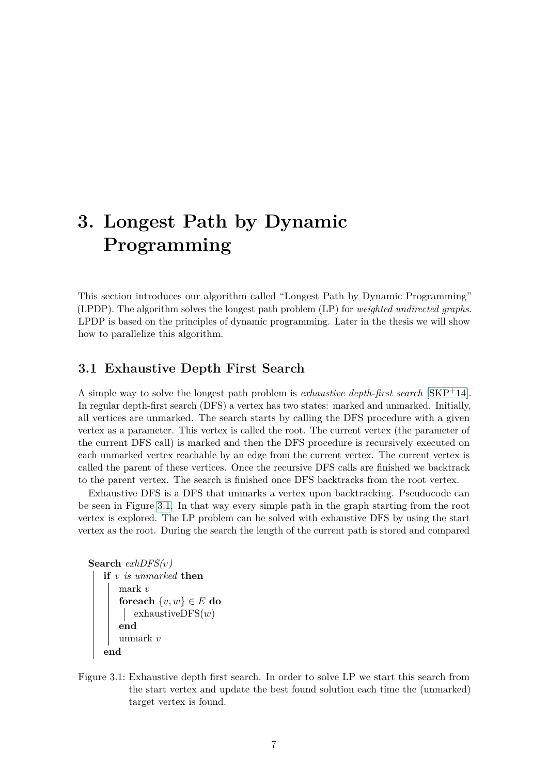## <span id="page-14-0"></span>**3. Longest Path by Dynamic Programming**

This section introduces our algorithm called "Longest Path by Dynamic Programming" (LPDP). The algorithm solves the longest path problem (LP) for *weighted undirected graphs*. LPDP is based on the principles of dynamic programming. Later in the thesis we will show how to parallelize this algorithm.

#### <span id="page-14-1"></span>**3.1 Exhaustive Depth First Search**

A simple way to solve the longest path problem is *exhaustive depth-first search* [\[SKP](#page-55-3)+14]. In regular depth-first search (DFS) a vertex has two states: marked and unmarked. Initially, all vertices are unmarked. The search starts by calling the DFS procedure with a given vertex as a parameter. This vertex is called the root. The current vertex (the parameter of the current DFS call) is marked and then the DFS procedure is recursively executed on each unmarked vertex reachable by an edge from the current vertex. The current vertex is called the parent of these vertices. Once the recursive DFS calls are finished we backtrack to the parent vertex. The search is finished once DFS backtracks from the root vertex.

Exhaustive DFS is a DFS that unmarks a vertex upon backtracking. Pseudocode can be seen in Figure [3.1.](#page-14-2) In that way every simple path in the graph starting from the root vertex is explored. The LP problem can be solved with exhaustive DFS by using the start vertex as the root. During the search the length of the current path is stored and compared

```
Search exhDFS(v)
   if v is unmarked then
       mark v
        \textbf{for each } \{v, w\} \in E \textbf{ do}exhaustiveDFS(w)
        end
       unmark v
    end
```
<span id="page-14-2"></span>Figure 3.1: Exhaustive depth first search. In order to solve LP we start this search from the start vertex and update the best found solution each time the (unmarked) target vertex is found.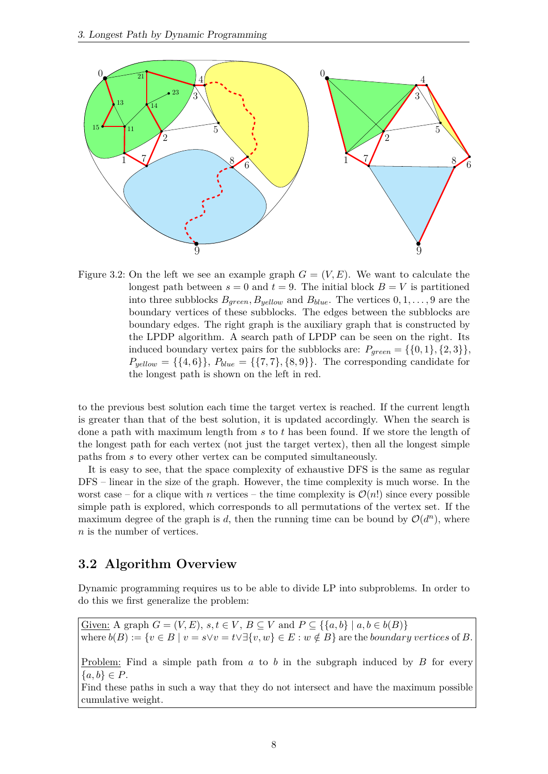

<span id="page-15-1"></span>Figure 3.2: On the left we see an example graph  $G = (V, E)$ . We want to calculate the longest path between  $s = 0$  and  $t = 9$ . The initial block  $B = V$  is partitioned into three subblocks  $B_{green}, B_{yellow}$  and  $B_{blue}$ . The vertices  $0, 1, \ldots, 9$  are the boundary vertices of these subblocks. The edges between the subblocks are boundary edges. The right graph is the auxiliary graph that is constructed by the LPDP algorithm. A search path of LPDP can be seen on the right. Its induced boundary vertex pairs for the subblocks are:  $P_{green} = \{\{0, 1\}, \{2, 3\}\},\$  $P_{yellow} = \{\{4, 6\}\}, P_{blue} = \{\{7, 7\}, \{8, 9\}\}.$  The corresponding candidate for the longest path is shown on the left in red.

to the previous best solution each time the target vertex is reached. If the current length is greater than that of the best solution, it is updated accordingly. When the search is done a path with maximum length from *s* to *t* has been found. If we store the length of the longest path for each vertex (not just the target vertex), then all the longest simple paths from *s* to every other vertex can be computed simultaneously.

It is easy to see, that the space complexity of exhaustive DFS is the same as regular DFS – linear in the size of the graph. However, the time complexity is much worse. In the worst case – for a clique with *n* vertices – the time complexity is  $\mathcal{O}(n!)$  since every possible simple path is explored, which corresponds to all permutations of the vertex set. If the maximum degree of the graph is *d*, then the running time can be bound by  $O(d^n)$ , where *n* is the number of vertices.

#### <span id="page-15-0"></span>**3.2 Algorithm Overview**

Dynamic programming requires us to be able to divide LP into subproblems. In order to do this we first generalize the problem:

Given: A graph  $G = (V, E)$ ,  $s, t \in V$ ,  $B \subseteq V$  and  $P \subseteq \{\{a, b\} \mid a, b \in b(B)\}\$ where  $b(B) := \{v \in B \mid v = s \lor v = t \lor \exists \{v, w\} \in E : w \notin B\}$  are the *boundary vertices* of *B*.

Problem: Find a simple path from *a* to *b* in the subgraph induced by *B* for every  ${a, b} \in P$ .

Find these paths in such a way that they do not intersect and have the maximum possible cumulative weight.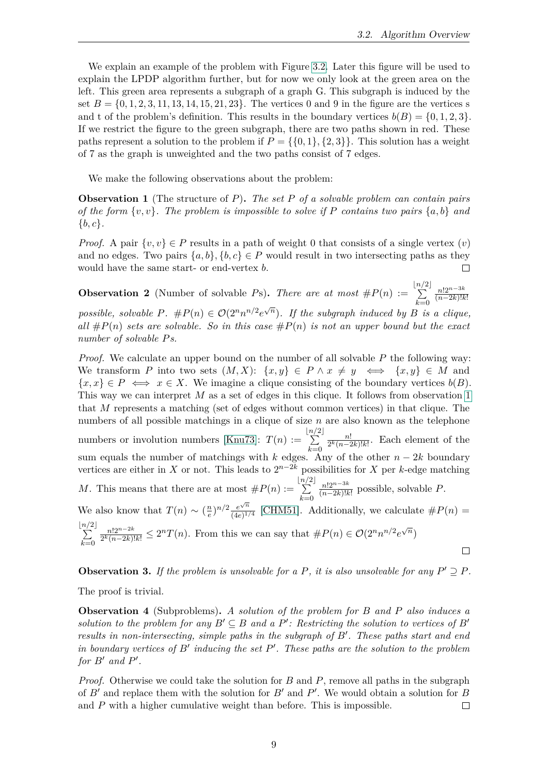We explain an example of the problem with Figure [3.2.](#page-15-1) Later this figure will be used to explain the LPDP algorithm further, but for now we only look at the green area on the left. This green area represents a subgraph of a graph G. This subgraph is induced by the set  $B = \{0, 1, 2, 3, 11, 13, 14, 15, 21, 23\}$ . The vertices 0 and 9 in the figure are the vertices s and t of the problem's definition. This results in the boundary vertices  $b(B) = \{0, 1, 2, 3\}.$ If we restrict the figure to the green subgraph, there are two paths shown in red. These paths represent a solution to the problem if  $P = \{0, 1\}$ ,  $\{2, 3\}$ . This solution has a weight of 7 as the graph is unweighted and the two paths consist of 7 edges.

We make the following observations about the problem:

<span id="page-16-0"></span>**Observation 1** (The structure of *P*)**.** *The set P of a solvable problem can contain pairs of the form* {*v, v*}*. The problem is impossible to solve if P contains two pairs* {*a, b*} *and* {*b, c*}*.*

*Proof.* A pair  $\{v, v\} \in P$  results in a path of weight 0 that consists of a single vertex  $(v)$ and no edges. Two pairs  $\{a, b\}, \{b, c\} \in P$  would result in two intersecting paths as they would have the same start- or end-vertex *b*.

<span id="page-16-3"></span>**Observation 2** (Number of solvable *Ps*). *There are at most*  $#P(n) :=$ b*n/*  $\sum$  $2\vert$ *k*=0 *n*!2*n*−3*<sup>k</sup>* (*n*−2*k*)!*k*! *possible, solvable*  $P$ *.*  $\#P(n) \in \mathcal{O}(2^n n^{n/2} e^{\sqrt{n}})$ *. If the subgraph induced by*  $B$  *is a clique,*  $all \#P(n)$  *sets are solvable. So in this case*  $\#P(n)$  *is not an upper bound but the exact number of solvable Ps.*

*Proof.* We calculate an upper bound on the number of all solvable P the following way: We transform *P* into two sets  $(M, X)$ :  $\{x, y\} \in P \land x \neq y \iff \{x, y\} \in M$  and  $\{x, x\} \in P \iff x \in X$ . We imagine a clique consisting of the boundary vertices  $b(B)$ . This way we can interpret M as a set of edges in this clique. It follows from observation [1](#page-16-0) that *M* represents a matching (set of edges without common vertices) in that clique. The numbers of all possible matchings in a clique of size *n* are also known as the telephone b*n/*  $2<sub>1</sub>$ *n*! numbers or involution numbers [\[Knu73\]](#page-54-6):  $T(n) :=$ P  $\frac{n!}{2^k(n-2k)!k!}$ . Each element of the *k*=0 sum equals the number of matchings with *k* edges. Any of the other *n* − 2*k* boundary vertices are either in *X* or not. This leads to  $2^{n-2k}$  possibilities for *X* per *k*-edge matching b*n/*  $2$ *n*!2*n*−3*<sup>k</sup> M*. This means that there are at most  $#P(n) :=$  $\sum$  $\frac{n!2^{n-3k}}{(n-2k)!k!}$  possible, solvable *P*. *k*=0  $\frac{n}{e}$ <sup>n/2</sup>  $\frac{e^{\sqrt{n}}}{(4e)^{1/2}}$ We also know that  $T(n) \sim \left(\frac{n}{e}\right)$  $\frac{e^{\sqrt{n}}}{(4e)^{1/4}}$  [\[CHM51\]](#page-54-7). Additionally, we calculate  $\#P(n) =$ b*n/*  $2\vert$  $\frac{n!2^{n-2k}}{2^k(n-2k)!k!} \leq 2^nT(n)$ . From this we can say that  $\#P(n) \in \mathcal{O}(2^n n^{n/2} e^{\sqrt{n}})$ *n*!2*n*−2*<sup>k</sup>*  $\sum$ *k*=0  $\Box$ 

<span id="page-16-2"></span>**Observation 3.** If the problem is unsolvable for a P, it is also unsolvable for any  $P' \supseteq P$ . The proof is trivial.

<span id="page-16-1"></span>**Observation 4** (Subproblems)**.** *A solution of the problem for B and P also induces a solution to the problem for any*  $B' \subseteq B$  *and a*  $P'$ : Restricting the solution to vertices of  $B'$ *results in non-intersecting, simple paths in the subgraph of*  $B'$ . These paths start and end *in boundary vertices of*  $B'$  *inducing the set*  $P'$ *. These paths are the solution to the problem for*  $B'$  *and*  $P'$ *.* 

*Proof.* Otherwise we could take the solution for *B* and *P*, remove all paths in the subgraph of  $B'$  and replace them with the solution for  $B'$  and  $P'$ . We would obtain a solution for  $B$ and *P* with a higher cumulative weight than before. This is impossible.  $\Box$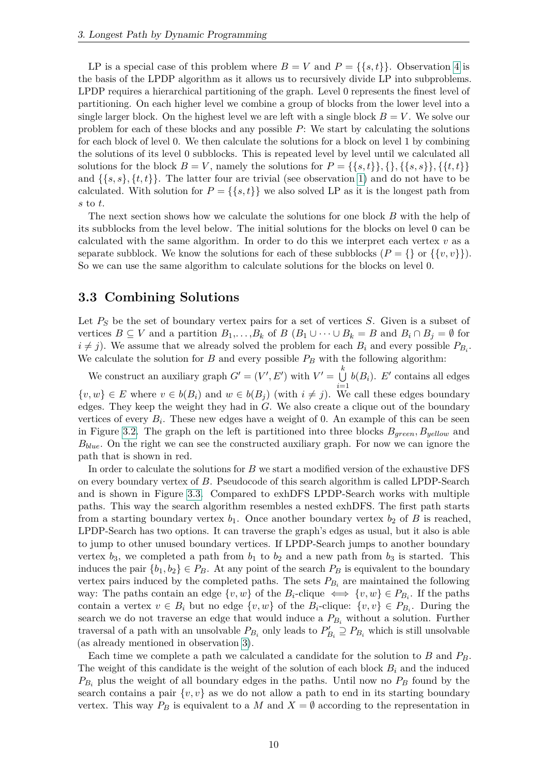LP is a special case of this problem where  $B = V$  and  $P = \{\{s,t\}\}\.$  Observation [4](#page-16-1) is the basis of the LPDP algorithm as it allows us to recursively divide LP into subproblems. LPDP requires a hierarchical partitioning of the graph. Level 0 represents the finest level of partitioning. On each higher level we combine a group of blocks from the lower level into a single larger block. On the highest level we are left with a single block  $B = V$ . We solve our problem for each of these blocks and any possible *P*: We start by calculating the solutions for each block of level 0. We then calculate the solutions for a block on level 1 by combining the solutions of its level 0 subblocks. This is repeated level by level until we calculated all solutions for the block  $B = V$ , namely the solutions for  $P = \{\{s,t\}\}, \{\}, \{\{s,s\}\}, \{\{t,t\}\}\$ and  $\{\{s, s\}, \{t, t\}\}\.$  The latter four are trivial (see observation [1\)](#page-16-0) and do not have to be calculated. With solution for  $P = \{\{s,t\}\}\$ we also solved LP as it is the longest path from *s* to *t*.

The next section shows how we calculate the solutions for one block *B* with the help of its subblocks from the level below. The initial solutions for the blocks on level 0 can be calculated with the same algorithm. In order to do this we interpret each vertex  $v$  as a separate subblock. We know the solutions for each of these subblocks  $(P = \{\}\,\text{or }\{\{v, v\}\}).$ So we can use the same algorithm to calculate solutions for the blocks on level 0.

#### <span id="page-17-0"></span>**3.3 Combining Solutions**

Let  $P<sub>S</sub>$  be the set of boundary vertex pairs for a set of vertices *S*. Given is a subset of vertices  $B \subseteq V$  and a partition  $B_1, \ldots, B_k$  of  $B (B_1 \cup \cdots \cup B_k = B$  and  $B_i \cap B_j = \emptyset$  for  $i \neq j$ ). We assume that we already solved the problem for each  $B_i$  and every possible  $P_{B_i}$ . We calculate the solution for  $B$  and every possible  $P_B$  with the following algorithm:

We construct an auxiliary graph  $G' = (V', E')$  with  $V' = \bigcup_{k=1}^{k}$  $\bigcup_{i=1}^{\infty} b(B_i)$ . *E'* contains all edges  $\{v, w\} \in E$  where  $v \in b(B_i)$  and  $w \in b(B_j)$  (with  $i \neq j$ ). We call these edges boundary edges. They keep the weight they had in *G*. We also create a clique out of the boundary vertices of every  $B_i$ . These new edges have a weight of 0. An example of this can be seen in Figure [3.2.](#page-15-1) The graph on the left is partitioned into three blocks *Bgreen, Byellow* and *Bblue*. On the right we can see the constructed auxiliary graph. For now we can ignore the path that is shown in red.

In order to calculate the solutions for *B* we start a modified version of the exhaustive DFS on every boundary vertex of *B*. Pseudocode of this search algorithm is called LPDP-Search and is shown in Figure [3.3.](#page-18-1) Compared to exhDFS LPDP-Search works with multiple paths. This way the search algorithm resembles a nested exhDFS. The first path starts from a starting boundary vertex  $b_1$ . Once another boundary vertex  $b_2$  of B is reached, LPDP-Search has two options. It can traverse the graph's edges as usual, but it also is able to jump to other unused boundary vertices. If LPDP-Search jumps to another boundary vertex  $b_3$ , we completed a path from  $b_1$  to  $b_2$  and a new path from  $b_3$  is started. This induces the pair  $\{b_1, b_2\} \in P_B$ . At any point of the search  $P_B$  is equivalent to the boundary vertex pairs induced by the completed paths. The sets  $P_{B_i}$  are maintained the following way: The paths contain an edge  $\{v, w\}$  of the  $B_i$ -clique  $\iff \{v, w\} \in P_{B_i}$ . If the paths contain a vertex  $v \in B_i$  but no edge  $\{v, w\}$  of the  $B_i$ -clique:  $\{v, v\} \in P_{B_i}$ . During the search we do not traverse an edge that would induce a  $P_{B_i}$  without a solution. Further traversal of a path with an unsolvable  $P_{B_i}$  only leads to  $P'_{B_i} \supseteq P_{B_i}$  which is still unsolvable (as already mentioned in observation [3\)](#page-16-2).

Each time we complete a path we calculated a candidate for the solution to *B* and *PB*. The weight of this candidate is the weight of the solution of each block  $B_i$  and the induced  $P_{B_i}$  plus the weight of all boundary edges in the paths. Until now no  $P_B$  found by the search contains a pair  $\{v, v\}$  as we do not allow a path to end in its starting boundary vertex. This way  $P_B$  is equivalent to a *M* and  $X = \emptyset$  according to the representation in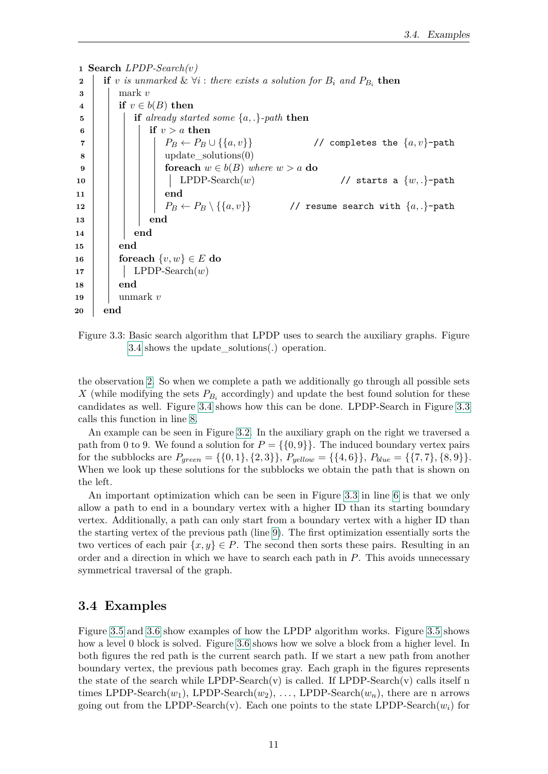```
1 Search LPDP-Search(v)
 2 if v is unmarked & \forall i : there exists a solution for B_i and P_{B_i} then
 3 | mark v4 if v \in b(B) then
 5 if already started some {a, .}-path then
 \mathbf{6} | | | if v > a then
 7 \vert \vert \vert \vert \vert \vert P_B \leftarrow P_B \cup \{\{a, v\}\} // completes the \{a, v\}-path
 8 | | | | update_solutions(0)
 9 \vert \vert \vert foreach w \in b(B) where w > a do
10 | | | | LPDP-Search(w) // starts a \{w, .\}-path
11 end
\begin{array}{|c|c|c|c|c|c|}\hline \textbf{12} & & & \ \end{array} \begin{array}{|c|c|c|c|c|}\hline \textbf{12} & & & \ \end{array} \begin{array}{|c|c|c|c|c|}\hline \textbf{13} & & & \ \end{array} \begin{array}{|c|c|c|c|c|c|}\hline \textbf{14} & & & \ \end{array} \begin{array}{|c|c|c|c|c|c|}\hline \textbf{15} & & & \ \end{array} \begin{array}{|c|c|c|c|c|c|c|c|c|c|c|c|c|c|c|c|c13 end
14 end
15 end
16 foreach {v, w} ∈ E do
17 | | LPDP-Search(w)18 end
19 unmark v
20 end
```
<span id="page-18-9"></span><span id="page-18-7"></span><span id="page-18-1"></span>

the observation [2.](#page-16-3) So when we complete a path we additionally go through all possible sets *X* (while modifying the sets  $P_{B_i}$  accordingly) and update the best found solution for these candidates as well. Figure [3.4](#page-19-1) shows how this can be done. LPDP-Search in Figure [3.3](#page-18-1) calls this function in line [8.](#page-18-2)

An example can be seen in Figure [3.2.](#page-15-1) In the auxiliary graph on the right we traversed a path from 0 to 9. We found a solution for  $P = \{0, 9\}$ . The induced boundary vertex pairs for the subblocks are  $P_{green} = \{\{0, 1\}, \{2, 3\}\}, P_{yellow} = \{\{4, 6\}\}, P_{blue} = \{\{7, 7\}, \{8, 9\}\}.$ When we look up these solutions for the subblocks we obtain the path that is shown on the left.

An important optimization which can be seen in Figure [3.3](#page-18-1) in line [6](#page-18-3) is that we only allow a path to end in a boundary vertex with a higher ID than its starting boundary vertex. Additionally, a path can only start from a boundary vertex with a higher ID than the starting vertex of the previous path (line [9\)](#page-18-4). The first optimization essentially sorts the two vertices of each pair  $\{x, y\} \in P$ . The second then sorts these pairs. Resulting in an order and a direction in which we have to search each path in *P*. This avoids unnecessary symmetrical traversal of the graph.

#### <span id="page-18-0"></span>**3.4 Examples**

Figure [3.5](#page-20-0) and [3.6](#page-22-0) show examples of how the LPDP algorithm works. Figure [3.5](#page-20-0) shows how a level 0 block is solved. Figure [3.6](#page-22-0) shows how we solve a block from a higher level. In both figures the red path is the current search path. If we start a new path from another boundary vertex, the previous path becomes gray. Each graph in the figures represents the state of the search while LPDP-Search(v) is called. If LPDP-Search(v) calls itself n times LPDP-Search $(w_1)$ , LPDP-Search $(w_2)$ , ..., LPDP-Search $(w_n)$ , there are n arrows going out from the LPDP-Search(v). Each one points to the state LPDP-Search( $w_i$ ) for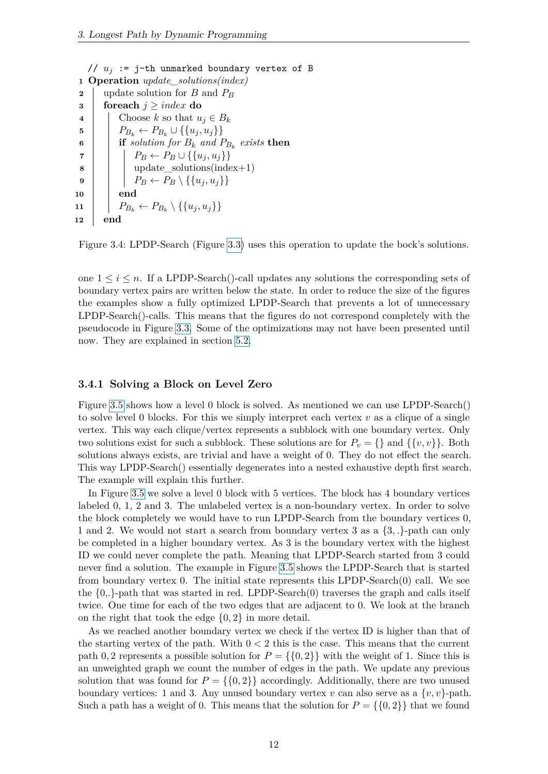<span id="page-19-2"></span>// *u<sup>j</sup>* := j-th unmarked boundary vertex of B **Operation** *update\_solutions(index)* update solution for *B* and *P<sup>B</sup>* **foreach**  $j \geq index$  **do**   $\vert$  Choose *k* so that  $u_j \in B_k$   $\left\{ P_{B_k} \leftarrow P_{B_k} \cup \{\{u_j, u_j\}\}\right\}$  $\mathbf{6}$  | **if** solution for  $B_k$  and  $P_{B_k}$  exists then  $\vert$   $\vert$   $P_B \leftarrow P_B \cup \{\{u_j, u_j\}\}\$  | | update\_solutions(index+1)  $\vert$   $\vert$   $P_B \leftarrow P_B \setminus \{\{u_i, u_i\}\}\$ **10 end**  $P_{B_k} \leftarrow P_{B_k} \setminus \{\{u_j, u_j\}\}$ **12 end**

<span id="page-19-1"></span>Figure 3.4: LPDP-Search (Figure [3.3\)](#page-18-1) uses this operation to update the bock's solutions.

one  $1 \leq i \leq n$ . If a LPDP-Search()-call updates any solutions the corresponding sets of boundary vertex pairs are written below the state. In order to reduce the size of the figures the examples show a fully optimized LPDP-Search that prevents a lot of unnecessary LPDP-Search()-calls. This means that the figures do not correspond completely with the pseudocode in Figure [3.3.](#page-18-1) Some of the optimizations may not have been presented until now. They are explained in section [5.2.](#page-35-0)

#### <span id="page-19-0"></span>**3.4.1 Solving a Block on Level Zero**

Figure [3.5](#page-20-0) shows how a level 0 block is solved. As mentioned we can use LPDP-Search() to solve level 0 blocks. For this we simply interpret each vertex *v* as a clique of a single vertex. This way each clique/vertex represents a subblock with one boundary vertex. Only two solutions exist for such a subblock. These solutions are for  $P_v = \{\}\$  and  $\{\{v, v\}\}\$ . Both solutions always exists, are trivial and have a weight of 0. They do not effect the search. This way LPDP-Search() essentially degenerates into a nested exhaustive depth first search. The example will explain this further.

In Figure [3.5](#page-20-0) we solve a level 0 block with 5 vertices. The block has 4 boundary vertices labeled 0, 1, 2 and 3. The unlabeled vertex is a non-boundary vertex. In order to solve the block completely we would have to run LPDP-Search from the boundary vertices 0, 1 and 2. We would not start a search from boundary vertex 3 as a {3*, .*}-path can only be completed in a higher boundary vertex. As 3 is the boundary vertex with the highest ID we could never complete the path. Meaning that LPDP-Search started from 3 could never find a solution. The example in Figure [3.5](#page-20-0) shows the LPDP-Search that is started from boundary vertex 0. The initial state represents this LPDP-Search(0) call. We see the  $\{0, \}$ -path that was started in red. LPDP-Search $(0)$  traverses the graph and calls itself twice. One time for each of the two edges that are adjacent to 0. We look at the branch on the right that took the edge {0*,* 2} in more detail.

As we reached another boundary vertex we check if the vertex ID is higher than that of the starting vertex of the path. With  $0 < 2$  this is the case. This means that the current path 0, 2 represents a possible solution for  $P = \{0, 2\}$  with the weight of 1. Since this is an unweighted graph we count the number of edges in the path. We update any previous solution that was found for  $P = \{0, 2\}$  accordingly. Additionally, there are two unused boundary vertices: 1 and 3. Any unused boundary vertex *v* can also serve as a  $\{v, v\}$ -path. Such a path has a weight of 0. This means that the solution for  $P = \{0, 2\}$  that we found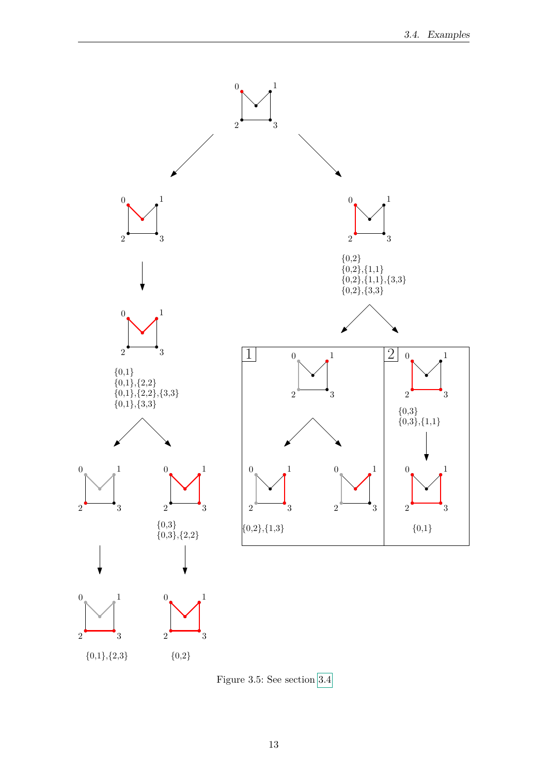

<span id="page-20-0"></span>Figure 3.5: See section [3.4](#page-18-0)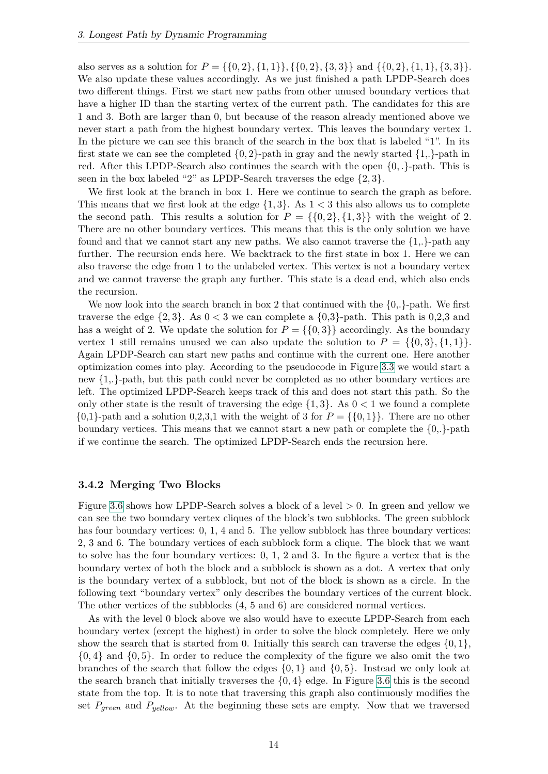also serves as a solution for  $P = \{ \{0, 2\}, \{1, 1\} \}, \{ \{0, 2\}, \{3, 3\} \}$  and  $\{ \{0, 2\}, \{1, 1\}, \{3, 3\} \}.$ We also update these values accordingly. As we just finished a path LPDP-Search does two different things. First we start new paths from other unused boundary vertices that have a higher ID than the starting vertex of the current path. The candidates for this are 1 and 3. Both are larger than 0, but because of the reason already mentioned above we never start a path from the highest boundary vertex. This leaves the boundary vertex 1. In the picture we can see this branch of the search in the box that is labeled "1". In its first state we can see the completed  $\{0,2\}$ -path in gray and the newly started  $\{1,\}$ -path in red. After this LPDP-Search also continues the search with the open {0*, .*}-path. This is seen in the box labeled "2" as LPDP-Search traverses the edge {2*,* 3}.

We first look at the branch in box 1. Here we continue to search the graph as before. This means that we first look at the edge  $\{1,3\}$ . As  $1 < 3$  this also allows us to complete the second path. This results a solution for  $P = \{0, 2\}, \{1, 3\}$  with the weight of 2. There are no other boundary vertices. This means that this is the only solution we have found and that we cannot start any new paths. We also cannot traverse the  $\{1, \}$ -path any further. The recursion ends here. We backtrack to the first state in box 1. Here we can also traverse the edge from 1 to the unlabeled vertex. This vertex is not a boundary vertex and we cannot traverse the graph any further. This state is a dead end, which also ends the recursion.

We now look into the search branch in box 2 that continued with the  ${0, \cdot}$ -path. We first traverse the edge  $\{2, 3\}$ . As  $0 < 3$  we can complete a  $\{0, 3\}$ -path. This path is 0,2,3 and has a weight of 2. We update the solution for  $P = \{0, 3\}$  accordingly. As the boundary vertex 1 still remains unused we can also update the solution to  $P = \{ \{0, 3\}, \{1, 1\} \}.$ Again LPDP-Search can start new paths and continue with the current one. Here another optimization comes into play. According to the pseudocode in Figure [3.3](#page-18-1) we would start a new {1,.}-path, but this path could never be completed as no other boundary vertices are left. The optimized LPDP-Search keeps track of this and does not start this path. So the only other state is the result of traversing the edge  $\{1,3\}$ . As  $0 < 1$  we found a complete  $\{0,1\}$ -path and a solution 0,2,3,1 with the weight of 3 for  $P = \{\{0,1\}\}\.$  There are no other boundary vertices. This means that we cannot start a new path or complete the  $\{0, \cdot\}$ -path if we continue the search. The optimized LPDP-Search ends the recursion here.

#### <span id="page-21-0"></span>**3.4.2 Merging Two Blocks**

Figure [3.6](#page-22-0) shows how LPDP-Search solves a block of a level *>* 0. In green and yellow we can see the two boundary vertex cliques of the block's two subblocks. The green subblock has four boundary vertices: 0, 1, 4 and 5. The yellow subblock has three boundary vertices: 2, 3 and 6. The boundary vertices of each subblock form a clique. The block that we want to solve has the four boundary vertices: 0, 1, 2 and 3. In the figure a vertex that is the boundary vertex of both the block and a subblock is shown as a dot. A vertex that only is the boundary vertex of a subblock, but not of the block is shown as a circle. In the following text "boundary vertex" only describes the boundary vertices of the current block. The other vertices of the subblocks (4, 5 and 6) are considered normal vertices.

As with the level 0 block above we also would have to execute LPDP-Search from each boundary vertex (except the highest) in order to solve the block completely. Here we only show the search that is started from 0. Initially this search can traverse the edges  $\{0, 1\}$ , {0*,* 4} and {0*,* 5}. In order to reduce the complexity of the figure we also omit the two branches of the search that follow the edges {0*,* 1} and {0*,* 5}. Instead we only look at the search branch that initially traverses the  $\{0,4\}$  edge. In Figure [3.6](#page-22-0) this is the second state from the top. It is to note that traversing this graph also continuously modifies the set  $P_{green}$  and  $P_{yellow}$ . At the beginning these sets are empty. Now that we traversed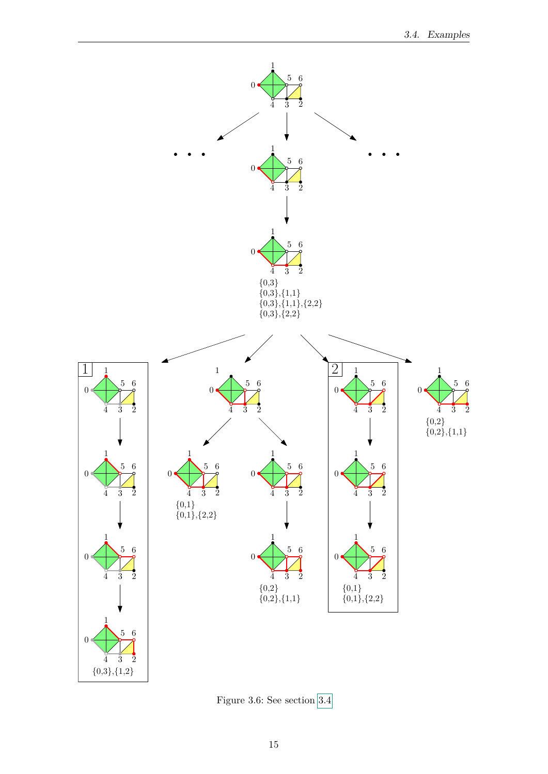

<span id="page-22-0"></span>Figure 3.6: See section [3.4](#page-18-0)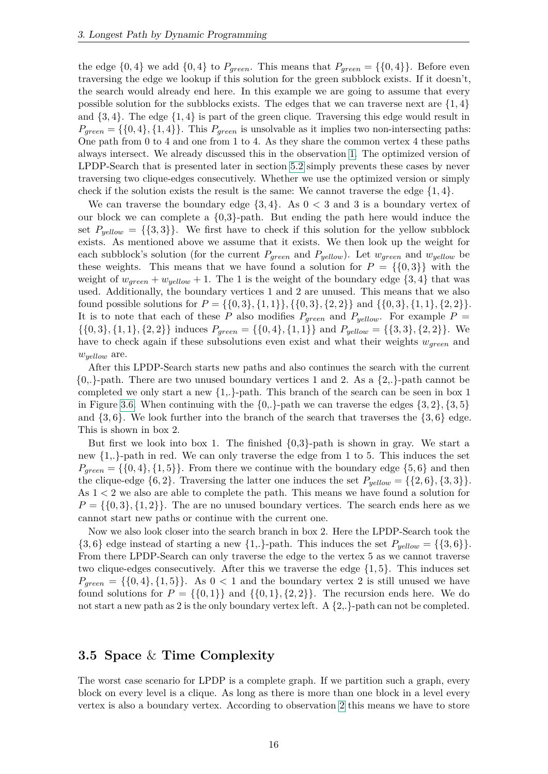the edge  $\{0,4\}$  we add  $\{0,4\}$  to  $P_{green}$ . This means that  $P_{green} = \{\{0,4\}\}\.$  Before even traversing the edge we lookup if this solution for the green subblock exists. If it doesn't, the search would already end here. In this example we are going to assume that every possible solution for the subblocks exists. The edges that we can traverse next are  $\{1,4\}$ and  $\{3, 4\}$ . The edge  $\{1, 4\}$  is part of the green clique. Traversing this edge would result in  $P_{green} = \{ \{0, 4\}, \{1, 4\} \}.$  This  $P_{green}$  is unsolvable as it implies two non-intersecting paths: One path from 0 to 4 and one from 1 to 4. As they share the common vertex 4 these paths always intersect. We already discussed this in the observation [1.](#page-16-0) The optimized version of LPDP-Search that is presented later in section [5.2](#page-35-0) simply prevents these cases by never traversing two clique-edges consecutively. Whether we use the optimized version or simply check if the solution exists the result is the same: We cannot traverse the edge  $\{1,4\}$ .

We can traverse the boundary edge  $\{3, 4\}$ . As  $0 < 3$  and 3 is a boundary vertex of our block we can complete a  ${0,3}$ -path. But ending the path here would induce the set  $P_{yellow} = \{\{3,3\}\}\.$  We first have to check if this solution for the yellow subblock exists. As mentioned above we assume that it exists. We then look up the weight for each subblock's solution (for the current *Pgreen* and *Pyellow*). Let *wgreen* and *wyellow* be these weights. This means that we have found a solution for  $P = \{\{0,3\}\}\$  with the weight of  $w_{green} + w_{yellow} + 1$ . The 1 is the weight of the boundary edge  $\{3, 4\}$  that was used. Additionally, the boundary vertices 1 and 2 are unused. This means that we also found possible solutions for  $P = \{\{0,3\}, \{1,1\}\}, \{\{0,3\}, \{2,2\}\}\$  and  $\{\{0,3\}, \{1,1\}, \{2,2\}\}.$ It is to note that each of these *P* also modifies  $P_{green}$  and  $P_{yellow}$ . For example  $P =$  $\{\{0,3\},\{1,1\},\{2,2\}\}\$  induces  $P_{green} = \{\{0,4\},\{1,1\}\}\$  and  $P_{yellow} = \{\{3,3\},\{2,2\}\}\$ . We have to check again if these subsolutions even exist and what their weights *wgreen* and *wyellow* are.

After this LPDP-Search starts new paths and also continues the search with the current  ${0,\}-$  path. There are two unused boundary vertices 1 and 2. As a  ${2,\}-$  path cannot be completed we only start a new  $\{1, \cdot\}$ -path. This branch of the search can be seen in box 1 in Figure [3.6.](#page-22-0) When continuing with the  $\{0, \}$ -path we can traverse the edges  $\{3, 2\}, \{3, 5\}$ and  $\{3,6\}$ . We look further into the branch of the search that traverses the  $\{3,6\}$  edge. This is shown in box 2.

But first we look into box 1. The finished  $\{0,3\}$ -path is shown in gray. We start a new  $\{1, \}$ -path in red. We can only traverse the edge from 1 to 5. This induces the set  $P_{green} = \{\{0,4\},\{1,5\}\}\.$  From there we continue with the boundary edge  $\{5,6\}$  and then the clique-edge  $\{6, 2\}$ . Traversing the latter one induces the set  $P_{yellow} = \{\{2, 6\}, \{3, 3\}\}.$ As 1 *<* 2 we also are able to complete the path. This means we have found a solution for  $P = \{0, 3\}, \{1, 2\}\.$  The are no unused boundary vertices. The search ends here as we cannot start new paths or continue with the current one.

Now we also look closer into the search branch in box 2. Here the LPDP-Search took the  $\{3,6\}$  edge instead of starting a new  $\{1,\}$ -path. This induces the set  $P_{yellow} = \{\{3,6\}\}.$ From there LPDP-Search can only traverse the edge to the vertex 5 as we cannot traverse two clique-edges consecutively. After this we traverse the edge {1*,* 5}. This induces set  $P_{green} = \{\{0,4\},\{1,5\}\}\$ . As  $0 < 1$  and the boundary vertex 2 is still unused we have found solutions for  $P = \{0, 1\}$  and  $\{0, 1\}$ ,  $\{2, 2\}$ . The recursion ends here. We do not start a new path as 2 is the only boundary vertex left. A  $\{2, \cdot\}$ -path can not be completed.

#### <span id="page-23-0"></span>**3.5 Space** & **Time Complexity**

The worst case scenario for LPDP is a complete graph. If we partition such a graph, every block on every level is a clique. As long as there is more than one block in a level every vertex is also a boundary vertex. According to observation [2](#page-16-3) this means we have to store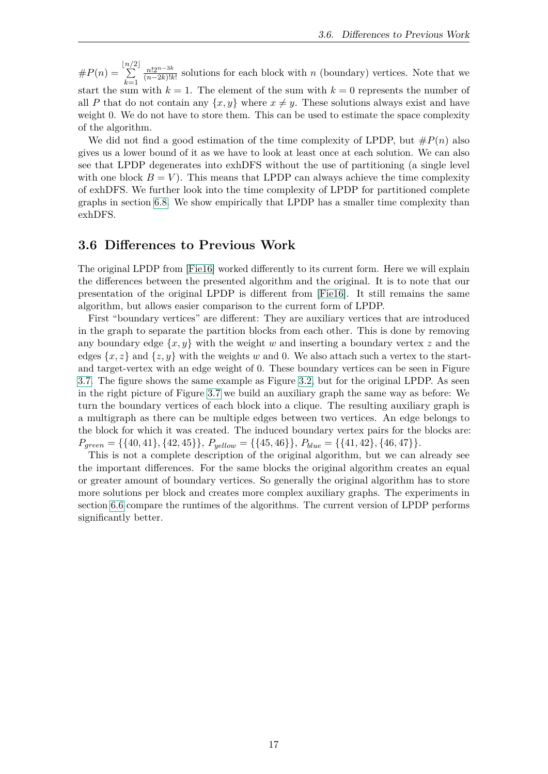$#P(n) =$ b*n/*  $\sum$  $2\vert$ *k*=1 *n*!2*n*−3*<sup>k</sup>*  $\frac{n!2^{n}}{(n-2k)!k!}$  solutions for each block with *n* (boundary) vertices. Note that we start the sum with  $k = 1$ . The element of the sum with  $k = 0$  represents the number of all P that do not contain any  $\{x, y\}$  where  $x \neq y$ . These solutions always exist and have weight 0. We do not have to store them. This can be used to estimate the space complexity of the algorithm.

We did not find a good estimation of the time complexity of LPDP, but  $\#P(n)$  also gives us a lower bound of it as we have to look at least once at each solution. We can also see that LPDP degenerates into exhDFS without the use of partitioning (a single level with one block  $B = V$ ). This means that LPDP can always achieve the time complexity of exhDFS. We further look into the time complexity of LPDP for partitioned complete graphs in section [6.8.](#page-45-0) We show empirically that LPDP has a smaller time complexity than exhDFS.

#### <span id="page-24-0"></span>**3.6 Differences to Previous Work**

The original LPDP from [\[Fie16\]](#page-54-4) worked differently to its current form. Here we will explain the differences between the presented algorithm and the original. It is to note that our presentation of the original LPDP is different from [\[Fie16\]](#page-54-4). It still remains the same algorithm, but allows easier comparison to the current form of LPDP.

First "boundary vertices" are different: They are auxiliary vertices that are introduced in the graph to separate the partition blocks from each other. This is done by removing any boundary edge  $\{x, y\}$  with the weight *w* and inserting a boundary vertex *z* and the edges  $\{x, z\}$  and  $\{z, y\}$  with the weights *w* and 0. We also attach such a vertex to the startand target-vertex with an edge weight of 0. These boundary vertices can be seen in Figure [3.7.](#page-25-0) The figure shows the same example as Figure [3.2,](#page-15-1) but for the original LPDP. As seen in the right picture of Figure [3.7](#page-25-0) we build an auxiliary graph the same way as before: We turn the boundary vertices of each block into a clique. The resulting auxiliary graph is a multigraph as there can be multiple edges between two vertices. An edge belongs to the block for which it was created. The induced boundary vertex pairs for the blocks are:  $P_{green} = \{\{40, 41\}, \{42, 45\}\}, P_{yellow} = \{\{45, 46\}\}, P_{blue} = \{\{41, 42\}, \{46, 47\}\}.$ 

This is not a complete description of the original algorithm, but we can already see the important differences. For the same blocks the original algorithm creates an equal or greater amount of boundary vertices. So generally the original algorithm has to store more solutions per block and creates more complex auxiliary graphs. The experiments in section [6.6](#page-42-1) compare the runtimes of the algorithms. The current version of LPDP performs significantly better.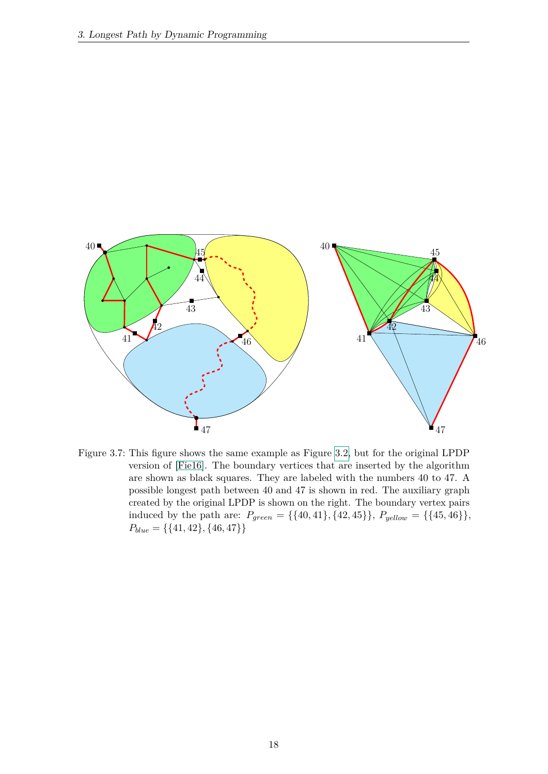

<span id="page-25-0"></span>Figure 3.7: This figure shows the same example as Figure [3.2,](#page-15-1) but for the original LPDP version of [\[Fie16\]](#page-54-4). The boundary vertices that are inserted by the algorithm are shown as black squares. They are labeled with the numbers 40 to 47. A possible longest path between 40 and 47 is shown in red. The auxiliary graph created by the original LPDP is shown on the right. The boundary vertex pairs induced by the path are:  $P_{green} = \{\{40, 41\}, \{42, 45\}\}, P_{yellow} = \{\{45, 46\}\},\$  $P_{blue} = \{\{41, 42\}, \{46, 47\}\}\$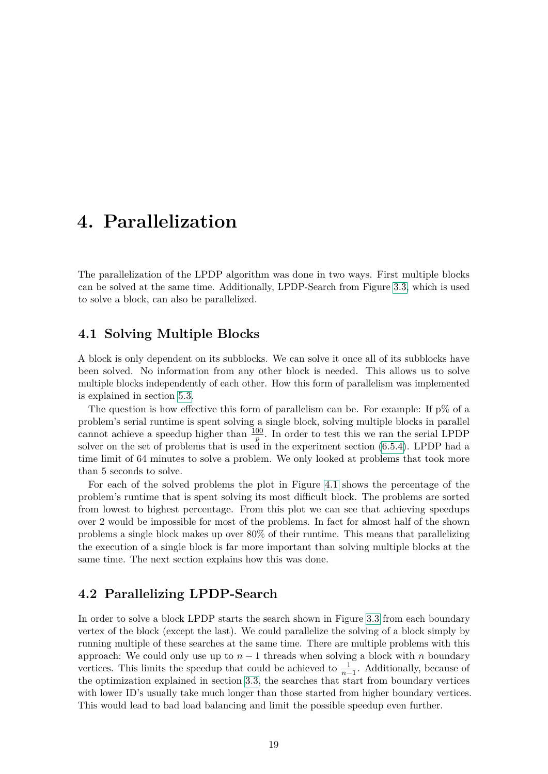### <span id="page-26-0"></span>**4. Parallelization**

The parallelization of the LPDP algorithm was done in two ways. First multiple blocks can be solved at the same time. Additionally, LPDP-Search from Figure [3.3,](#page-18-1) which is used to solve a block, can also be parallelized.

#### <span id="page-26-1"></span>**4.1 Solving Multiple Blocks**

A block is only dependent on its subblocks. We can solve it once all of its subblocks have been solved. No information from any other block is needed. This allows us to solve multiple blocks independently of each other. How this form of parallelism was implemented is explained in section [5.3.](#page-36-0)

The question is how effective this form of parallelism can be. For example: If  $p\%$  of a problem's serial runtime is spent solving a single block, solving multiple blocks in parallel cannot achieve a speedup higher than  $\frac{100}{p}$ . In order to test this we ran the serial LPDP solver on the set of problems that is used in the experiment section [\(6.5.4\)](#page-42-0). LPDP had a time limit of 64 minutes to solve a problem. We only looked at problems that took more than 5 seconds to solve.

For each of the solved problems the plot in Figure [4.1](#page-27-0) shows the percentage of the problem's runtime that is spent solving its most difficult block. The problems are sorted from lowest to highest percentage. From this plot we can see that achieving speedups over 2 would be impossible for most of the problems. In fact for almost half of the shown problems a single block makes up over 80% of their runtime. This means that parallelizing the execution of a single block is far more important than solving multiple blocks at the same time. The next section explains how this was done.

#### <span id="page-26-2"></span>**4.2 Parallelizing LPDP-Search**

In order to solve a block LPDP starts the search shown in Figure [3.3](#page-18-1) from each boundary vertex of the block (except the last). We could parallelize the solving of a block simply by running multiple of these searches at the same time. There are multiple problems with this approach: We could only use up to  $n-1$  threads when solving a block with  $n$  boundary vertices. This limits the speedup that could be achieved to  $\frac{1}{n-1}$ . Additionally, because of the optimization explained in section [3.3,](#page-17-0) the searches that start from boundary vertices with lower ID's usually take much longer than those started from higher boundary vertices. This would lead to bad load balancing and limit the possible speedup even further.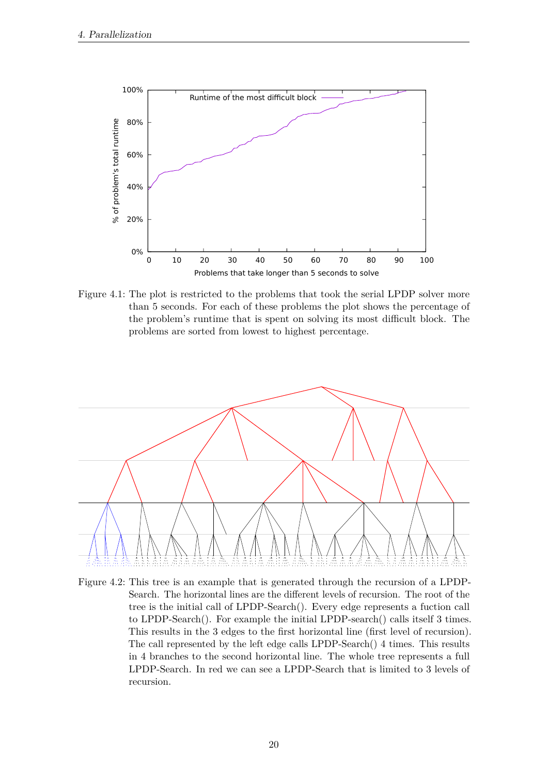

<span id="page-27-0"></span>Figure 4.1: The plot is restricted to the problems that took the serial LPDP solver more than 5 seconds. For each of these problems the plot shows the percentage of the problem's runtime that is spent on solving its most difficult block. The problems are sorted from lowest to highest percentage.



<span id="page-27-1"></span>Figure 4.2: This tree is an example that is generated through the recursion of a LPDP-Search. The horizontal lines are the different levels of recursion. The root of the tree is the initial call of LPDP-Search(). Every edge represents a fuction call to LPDP-Search(). For example the initial LPDP-search() calls itself 3 times. This results in the 3 edges to the first horizontal line (first level of recursion). The call represented by the left edge calls LPDP-Search() 4 times. This results in 4 branches to the second horizontal line. The whole tree represents a full LPDP-Search. In red we can see a LPDP-Search that is limited to 3 levels of recursion.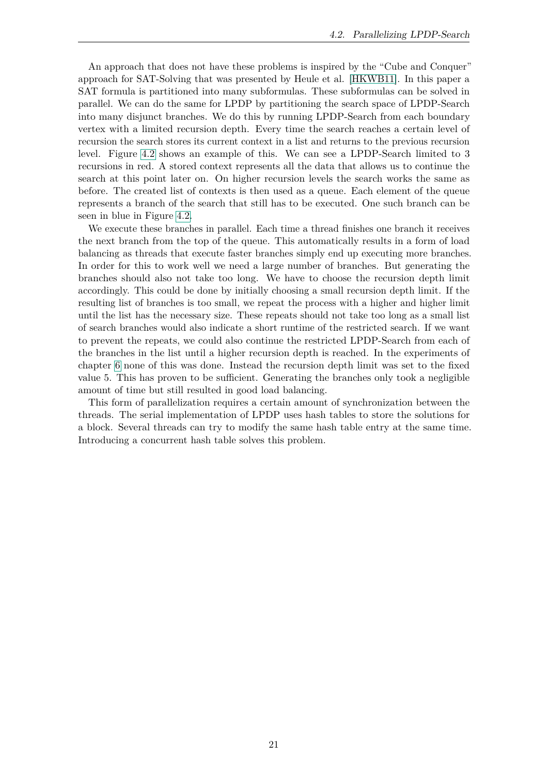An approach that does not have these problems is inspired by the "Cube and Conquer" approach for SAT-Solving that was presented by Heule et al. [\[HKWB11\]](#page-54-8). In this paper a SAT formula is partitioned into many subformulas. These subformulas can be solved in parallel. We can do the same for LPDP by partitioning the search space of LPDP-Search into many disjunct branches. We do this by running LPDP-Search from each boundary vertex with a limited recursion depth. Every time the search reaches a certain level of recursion the search stores its current context in a list and returns to the previous recursion level. Figure [4.2](#page-27-1) shows an example of this. We can see a LPDP-Search limited to 3 recursions in red. A stored context represents all the data that allows us to continue the search at this point later on. On higher recursion levels the search works the same as before. The created list of contexts is then used as a queue. Each element of the queue represents a branch of the search that still has to be executed. One such branch can be seen in blue in Figure [4.2.](#page-27-1)

We execute these branches in parallel. Each time a thread finishes one branch it receives the next branch from the top of the queue. This automatically results in a form of load balancing as threads that execute faster branches simply end up executing more branches. In order for this to work well we need a large number of branches. But generating the branches should also not take too long. We have to choose the recursion depth limit accordingly. This could be done by initially choosing a small recursion depth limit. If the resulting list of branches is too small, we repeat the process with a higher and higher limit until the list has the necessary size. These repeats should not take too long as a small list of search branches would also indicate a short runtime of the restricted search. If we want to prevent the repeats, we could also continue the restricted LPDP-Search from each of the branches in the list until a higher recursion depth is reached. In the experiments of chapter [6](#page-38-0) none of this was done. Instead the recursion depth limit was set to the fixed value 5. This has proven to be sufficient. Generating the branches only took a negligible amount of time but still resulted in good load balancing.

This form of parallelization requires a certain amount of synchronization between the threads. The serial implementation of LPDP uses hash tables to store the solutions for a block. Several threads can try to modify the same hash table entry at the same time. Introducing a concurrent hash table solves this problem.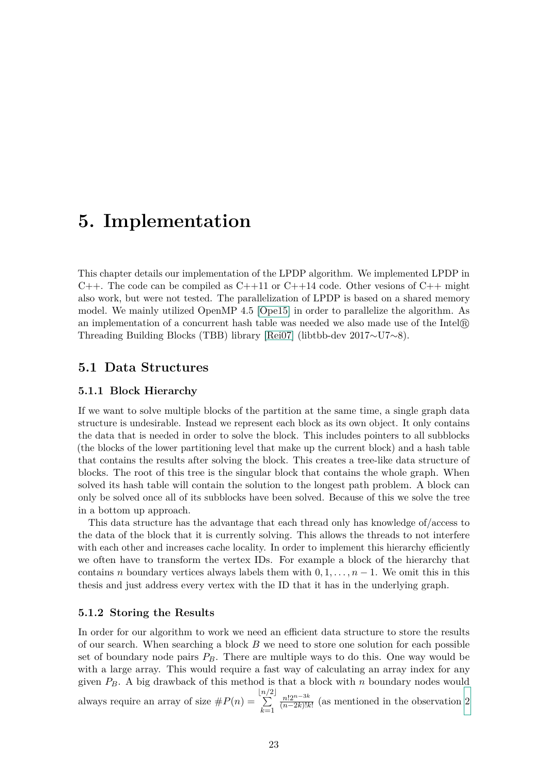## <span id="page-30-0"></span>**5. Implementation**

This chapter details our implementation of the LPDP algorithm. We implemented LPDP in C++. The code can be compiled as C++11 or C++14 code. Other vesions of C++ might also work, but were not tested. The parallelization of LPDP is based on a shared memory model. We mainly utilized OpenMP 4.5 [\[Ope15\]](#page-54-9) in order to parallelize the algorithm. As an implementation of a concurrent hash table was needed we also made use of the Intel R Threading Building Blocks (TBB) library [\[Rei07\]](#page-55-4) (libtbb-dev 2017∼U7∼8).

#### <span id="page-30-1"></span>**5.1 Data Structures**

#### <span id="page-30-2"></span>**5.1.1 Block Hierarchy**

If we want to solve multiple blocks of the partition at the same time, a single graph data structure is undesirable. Instead we represent each block as its own object. It only contains the data that is needed in order to solve the block. This includes pointers to all subblocks (the blocks of the lower partitioning level that make up the current block) and a hash table that contains the results after solving the block. This creates a tree-like data structure of blocks. The root of this tree is the singular block that contains the whole graph. When solved its hash table will contain the solution to the longest path problem. A block can only be solved once all of its subblocks have been solved. Because of this we solve the tree in a bottom up approach.

This data structure has the advantage that each thread only has knowledge of/access to the data of the block that it is currently solving. This allows the threads to not interfere with each other and increases cache locality. In order to implement this hierarchy efficiently we often have to transform the vertex IDs. For example a block of the hierarchy that contains *n* boundary vertices always labels them with  $0, 1, \ldots, n-1$ . We omit this in this thesis and just address every vertex with the ID that it has in the underlying graph.

#### <span id="page-30-3"></span>**5.1.2 Storing the Results**

In order for our algorithm to work we need an efficient data structure to store the results of our search. When searching a block *B* we need to store one solution for each possible set of boundary node pairs  $P_B$ . There are multiple ways to do this. One way would be with a large array. This would require a fast way of calculating an array index for any given *PB*. A big drawback of this method is that a block with *n* boundary nodes would always require an array of size  $#P(n) =$ b*n/*  $\sum$  $2\vert$ *k*=1 *n*!2*n*−3*<sup>k</sup>*  $\frac{n!2^{n-3\kappa}}{(n-2k)!k!}$  (as mentioned in the observation [2](#page-16-3)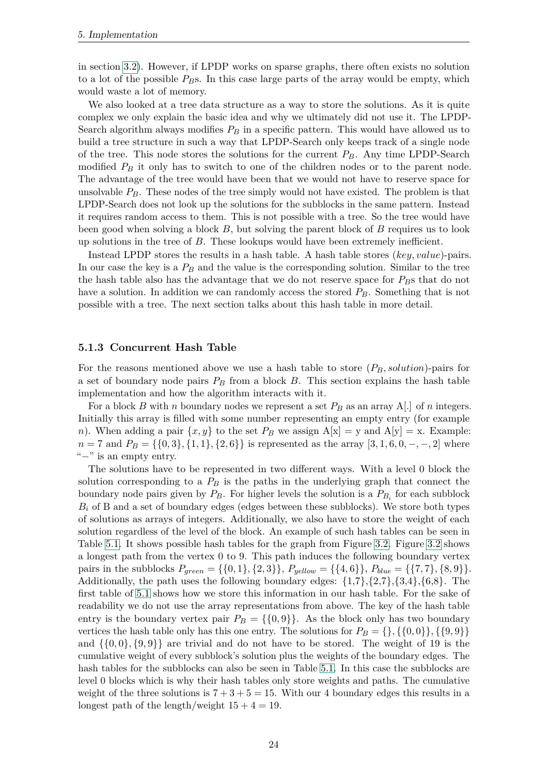in section [3.2\)](#page-15-0). However, if LPDP works on sparse graphs, there often exists no solution to a lot of the possible *PB*s. In this case large parts of the array would be empty, which would waste a lot of memory.

We also looked at a tree data structure as a way to store the solutions. As it is quite complex we only explain the basic idea and why we ultimately did not use it. The LPDP-Search algorithm always modifies *P<sup>B</sup>* in a specific pattern. This would have allowed us to build a tree structure in such a way that LPDP-Search only keeps track of a single node of the tree. This node stores the solutions for the current *PB*. Any time LPDP-Search modified  $P_B$  it only has to switch to one of the children nodes or to the parent node. The advantage of the tree would have been that we would not have to reserve space for unsolvable *PB*. These nodes of the tree simply would not have existed. The problem is that LPDP-Search does not look up the solutions for the subblocks in the same pattern. Instead it requires random access to them. This is not possible with a tree. So the tree would have been good when solving a block *B*, but solving the parent block of *B* requires us to look up solutions in the tree of *B*. These lookups would have been extremely inefficient.

Instead LPDP stores the results in a hash table. A hash table stores (*key, value*)-pairs. In our case the key is a *P<sup>B</sup>* and the value is the corresponding solution. Similar to the tree the hash table also has the advantage that we do not reserve space for *PB*s that do not have a solution. In addition we can randomly access the stored *PB*. Something that is not possible with a tree. The next section talks about this hash table in more detail.

#### <span id="page-31-0"></span>**5.1.3 Concurrent Hash Table**

For the reasons mentioned above we use a hash table to store (*PB, solution*)-pairs for a set of boundary node pairs  $P_B$  from a block  $B$ . This section explains the hash table implementation and how the algorithm interacts with it.

For a block *B* with *n* boundary nodes we represent a set *P<sup>B</sup>* as an array A[.] of *n* integers. Initially this array is filled with some number representing an empty entry (for example *n*). When adding a pair  $\{x, y\}$  to the set  $P_B$  we assign  $A[x] = y$  and  $A[y] = x$ . Example:  $n = 7$  and  $P_B = \{\{0, 3\}, \{1, 1\}, \{2, 6\}\}\$ is represented as the array [3, 1, 6, 0*,* −*,* −*,* 2] where "−" is an empty entry.

The solutions have to be represented in two different ways. With a level 0 block the solution corresponding to a *P<sup>B</sup>* is the paths in the underlying graph that connect the boundary node pairs given by  $P_B$ . For higher levels the solution is a  $P_{B_i}$  for each subblock  $B_i$  of B and a set of boundary edges (edges between these subblocks). We store both types of solutions as arrays of integers. Additionally, we also have to store the weight of each solution regardless of the level of the block. An example of such hash tables can be seen in Table [5.1.](#page-32-0) It shows possible hash tables for the graph from Figure [3.2.](#page-15-1) Figure [3.2](#page-15-1) shows a longest path from the vertex 0 to 9. This path induces the following boundary vertex pairs in the subblocks  $P_{green} = \{\{0, 1\}, \{2, 3\}\}, P_{yellow} = \{\{4, 6\}\}, P_{blue} = \{\{7, 7\}, \{8, 9\}\}.$ Additionally, the path uses the following boundary edges:  $\{1,7\}, \{2,7\}, \{3,4\}, \{6,8\}.$  The first table of [5.1](#page-32-0) shows how we store this information in our hash table. For the sake of readability we do not use the array representations from above. The key of the hash table entry is the boundary vertex pair  $P_B = \{\{0, 9\}\}\$ . As the block only has two boundary vertices the hash table only has this one entry. The solutions for  $P_B = \{\}, \{\{0,0\}\}, \{\{9,9\}\}\$ and  $\{\{0,0\},\{9,9\}\}\$  are trivial and do not have to be stored. The weight of 19 is the cumulative weight of every subblock's solution plus the weights of the boundary edges. The hash tables for the subblocks can also be seen in Table [5.1.](#page-32-0) In this case the subblocks are level 0 blocks which is why their hash tables only store weights and paths. The cumulative weight of the three solutions is  $7 + 3 + 5 = 15$ . With our 4 boundary edges this results in a longest path of the length/weight  $15 + 4 = 19$ .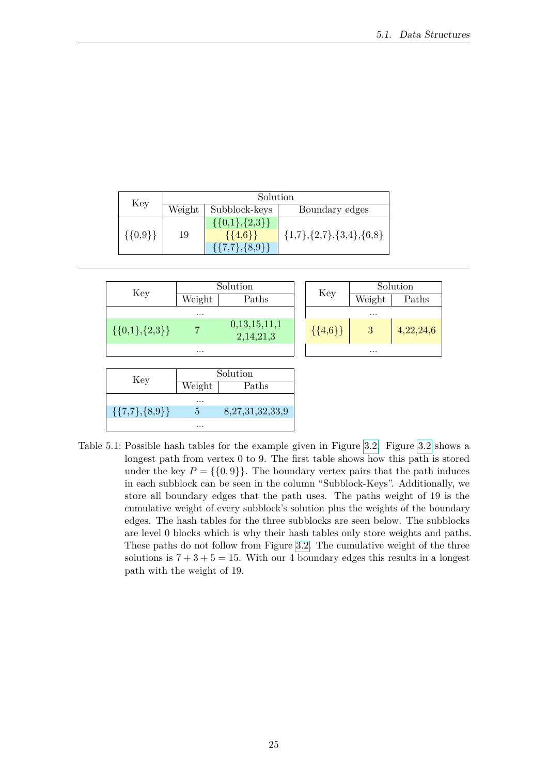| Key         | Solution |                        |                                      |  |  |
|-------------|----------|------------------------|--------------------------------------|--|--|
|             | Weight   | Subblock-keys          | Boundary edges                       |  |  |
|             | 19       | $\{\{0,1\},\{2,3\}\}\$ |                                      |  |  |
| $\{0,9\}\}$ |          | $\{\{4,6\}\}\$         | $\{1,7\}, \{2,7\}, \{3,4\}, \{6,8\}$ |  |  |
|             |          | $\{\{7,7\},\{8,9\}\}\$ |                                      |  |  |



<span id="page-32-0"></span>Table 5.1: Possible hash tables for the example given in Figure [3.2.](#page-15-1) Figure [3.2](#page-15-1) shows a longest path from vertex 0 to 9. The first table shows how this path is stored under the key  $P = \{\{0, 9\}\}\.$  The boundary vertex pairs that the path induces in each subblock can be seen in the column "Subblock-Keys". Additionally, we store all boundary edges that the path uses. The paths weight of 19 is the cumulative weight of every subblock's solution plus the weights of the boundary edges. The hash tables for the three subblocks are seen below. The subblocks are level 0 blocks which is why their hash tables only store weights and paths. These paths do not follow from Figure [3.2.](#page-15-1) The cumulative weight of the three solutions is  $7 + 3 + 5 = 15$ . With our 4 boundary edges this results in a longest path with the weight of 19.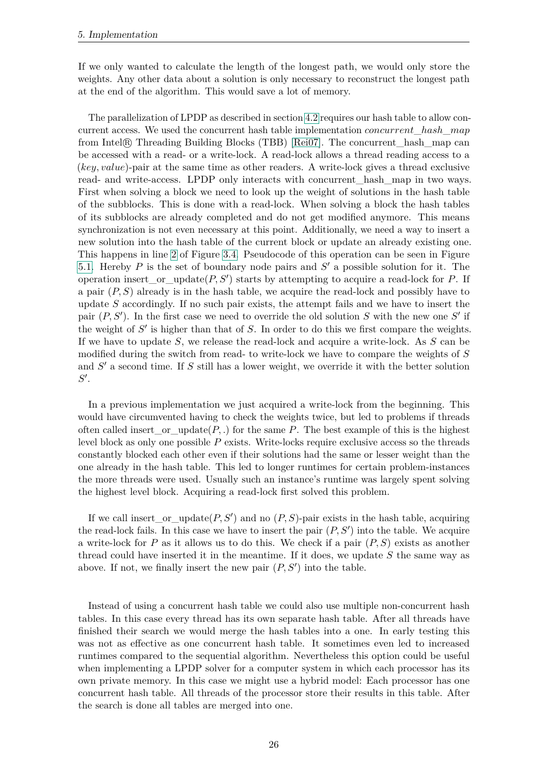If we only wanted to calculate the length of the longest path, we would only store the weights. Any other data about a solution is only necessary to reconstruct the longest path at the end of the algorithm. This would save a lot of memory.

The parallelization of LPDP as described in section [4.2](#page-26-2) requires our hash table to allow concurrent access. We used the concurrent hash table implementation *concurrent*\_*hash*\_*map* from Intel R Threading Building Blocks (TBB) [\[Rei07\]](#page-55-4). The concurrent\_hash\_map can be accessed with a read- or a write-lock. A read-lock allows a thread reading access to a (*key, value*)-pair at the same time as other readers. A write-lock gives a thread exclusive read- and write-access. LPDP only interacts with concurrent\_hash\_map in two ways. First when solving a block we need to look up the weight of solutions in the hash table of the subblocks. This is done with a read-lock. When solving a block the hash tables of its subblocks are already completed and do not get modified anymore. This means synchronization is not even necessary at this point. Additionally, we need a way to insert a new solution into the hash table of the current block or update an already existing one. This happens in line [2](#page-19-2) of Figure [3.4.](#page-19-1) Pseudocode of this operation can be seen in Figure [5.1.](#page-34-0) Hereby  $P$  is the set of boundary node pairs and  $S'$  a possible solution for it. The operation insert\_or\_update $(P, S')$  starts by attempting to acquire a read-lock for  $P$ . If a pair (*P, S*) already is in the hash table, we acquire the read-lock and possibly have to update *S* accordingly. If no such pair exists, the attempt fails and we have to insert the pair  $(P, S')$ . In the first case we need to override the old solution *S* with the new one  $S'$  if the weight of  $S'$  is higher than that of  $S$ . In order to do this we first compare the weights. If we have to update *S*, we release the read-lock and acquire a write-lock. As *S* can be modified during the switch from read- to write-lock we have to compare the weights of *S* and  $S'$  a second time. If  $S$  still has a lower weight, we override it with the better solution  $S^{\prime}$ .

In a previous implementation we just acquired a write-lock from the beginning. This would have circumvented having to check the weights twice, but led to problems if threads often called insert\_or\_update $(P, .)$  for the same P. The best example of this is the highest level block as only one possible *P* exists. Write-locks require exclusive access so the threads constantly blocked each other even if their solutions had the same or lesser weight than the one already in the hash table. This led to longer runtimes for certain problem-instances the more threads were used. Usually such an instance's runtime was largely spent solving the highest level block. Acquiring a read-lock first solved this problem.

If we call insert\_or\_update $(P, S')$  and no  $(P, S)$ -pair exists in the hash table, acquiring the read-lock fails. In this case we have to insert the pair  $(P, S')$  into the table. We acquire a write-lock for *P* as it allows us to do this. We check if a pair (*P, S*) exists as another thread could have inserted it in the meantime. If it does, we update *S* the same way as above. If not, we finally insert the new pair  $(P, S')$  into the table.

Instead of using a concurrent hash table we could also use multiple non-concurrent hash tables. In this case every thread has its own separate hash table. After all threads have finished their search we would merge the hash tables into a one. In early testing this was not as effective as one concurrent hash table. It sometimes even led to increased runtimes compared to the sequential algorithm. Nevertheless this option could be useful when implementing a LPDP solver for a computer system in which each processor has its own private memory. In this case we might use a hybrid model: Each processor has one concurrent hash table. All threads of the processor store their results in this table. After the search is done all tables are merged into one.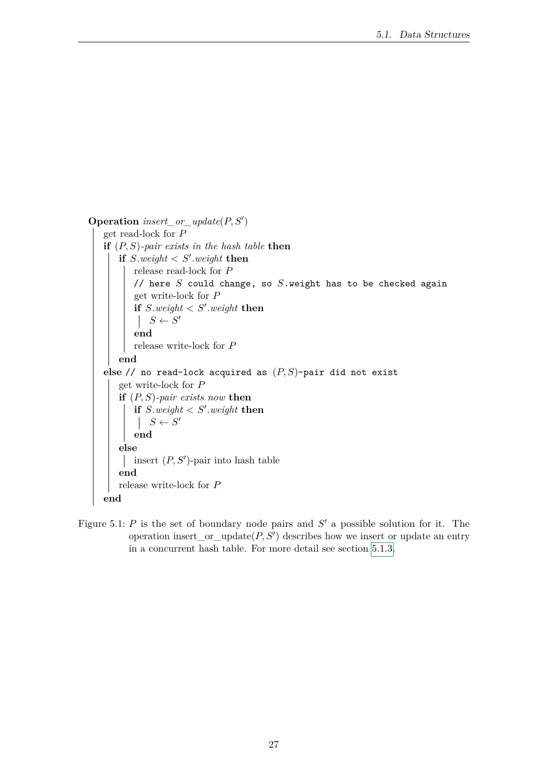```
\textbf{Operation } insert\_or\_update(P, S')get read-lock for P
   if (P, S)-pair exists in the hash table then
       if S.weight < S'.weight then
          release read-lock for P
          // here S could change, so S.weight has to be checked again
          get write-lock for P
           if S.weight \lt S'.weight then
               S \leftarrow S'end
          release write-lock for P
       end
   else // no read-lock acquired as (P, S)-pair did not exist
       get write-lock for P
       if (P, S)-pair exists now then
           \textbf{if } S \textit{.weight} < S' \textit{.weight} \textbf{ then}S \leftarrow S'end
       else
           insert (P, S')-pair into hash table
       end
       release write-lock for P
   end
```
<span id="page-34-0"></span>Figure 5.1:  $P$  is the set of boundary node pairs and  $S'$  a possible solution for it. The operation insert\_or\_update $(P, S')$  describes how we insert or update an entry in a concurrent hash table. For more detail see section [5.1.3.](#page-31-0)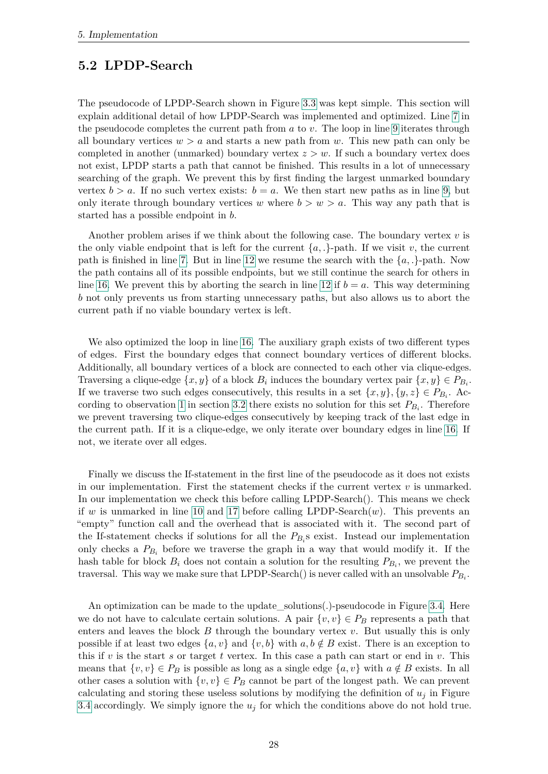#### <span id="page-35-0"></span>**5.2 LPDP-Search**

The pseudocode of LPDP-Search shown in Figure [3.3](#page-18-1) was kept simple. This section will explain additional detail of how LPDP-Search was implemented and optimized. Line [7](#page-18-5) in the pseudocode completes the current path from *a* to *v*. The loop in line [9](#page-18-4) iterates through all boundary vertices  $w > a$  and starts a new path from  $w$ . This new path can only be completed in another (unmarked) boundary vertex *z > w*. If such a boundary vertex does not exist, LPDP starts a path that cannot be finished. This results in a lot of unnecessary searching of the graph. We prevent this by first finding the largest unmarked boundary vertex  $b > a$ . If no such vertex exists:  $b = a$ . We then start new paths as in line [9,](#page-18-4) but only iterate through boundary vertices *w* where  $b > w > a$ . This way any path that is started has a possible endpoint in *b*.

Another problem arises if we think about the following case. The boundary vertex *v* is the only viable endpoint that is left for the current  $\{a,.\}$ -path. If we visit *v*, the current path is finished in line [7.](#page-18-5) But in line [12](#page-18-6) we resume the search with the  $\{a, \cdot\}$ -path. Now the path contains all of its possible endpoints, but we still continue the search for others in line [16.](#page-18-7) We prevent this by aborting the search in line [12](#page-18-6) if  $b = a$ . This way determining *b* not only prevents us from starting unnecessary paths, but also allows us to abort the current path if no viable boundary vertex is left.

We also optimized the loop in line [16.](#page-18-7) The auxiliary graph exists of two different types of edges. First the boundary edges that connect boundary vertices of different blocks. Additionally, all boundary vertices of a block are connected to each other via clique-edges. Traversing a clique-edge  $\{x, y\}$  of a block  $B_i$  induces the boundary vertex pair  $\{x, y\} \in P_{B_i}$ . If we traverse two such edges consecutively, this results in a set  $\{x, y\}$ ,  $\{y, z\} \in P_{B_i}$ . Ac-cording to observation [1](#page-16-0) in section [3.2](#page-15-0) there exists no solution for this set  $P_{B_i}$ . Therefore we prevent traversing two clique-edges consecutively by keeping track of the last edge in the current path. If it is a clique-edge, we only iterate over boundary edges in line [16.](#page-18-7) If not, we iterate over all edges.

Finally we discuss the If-statement in the first line of the pseudocode as it does not exists in our implementation. First the statement checks if the current vertex  $v$  is unmarked. In our implementation we check this before calling LPDP-Search(). This means we check if *w* is unmarked in line [10](#page-18-8) and [17](#page-18-9) before calling LPDP-Search(*w*). This prevents an "empty" function call and the overhead that is associated with it. The second part of the If-statement checks if solutions for all the  $P_{B_i}$ s exist. Instead our implementation only checks a  $P_{B_i}$  before we traverse the graph in a way that would modify it. If the hash table for block  $B_i$  does not contain a solution for the resulting  $P_{B_i}$ , we prevent the traversal. This way we make sure that LPDP-Search() is never called with an unsolvable *PB<sup>i</sup>* .

An optimization can be made to the update\_solutions(.)-pseudocode in Figure [3.4.](#page-19-1) Here we do not have to calculate certain solutions. A pair  $\{v, v\} \in P_B$  represents a path that enters and leaves the block *B* through the boundary vertex *v*. But usually this is only possible if at least two edges  $\{a, v\}$  and  $\{v, b\}$  with  $a, b \notin B$  exist. There is an exception to this if *v* is the start *s* or target *t* vertex. In this case a path can start or end in *v*. This means that  $\{v, v\} \in P_B$  is possible as long as a single edge  $\{a, v\}$  with  $a \notin B$  exists. In all other cases a solution with  $\{v, v\} \in P_B$  cannot be part of the longest path. We can prevent calculating and storing these useless solutions by modifying the definition of  $u_j$  in Figure [3.4](#page-19-1) accordingly. We simply ignore the  $u_j$  for which the conditions above do not hold true.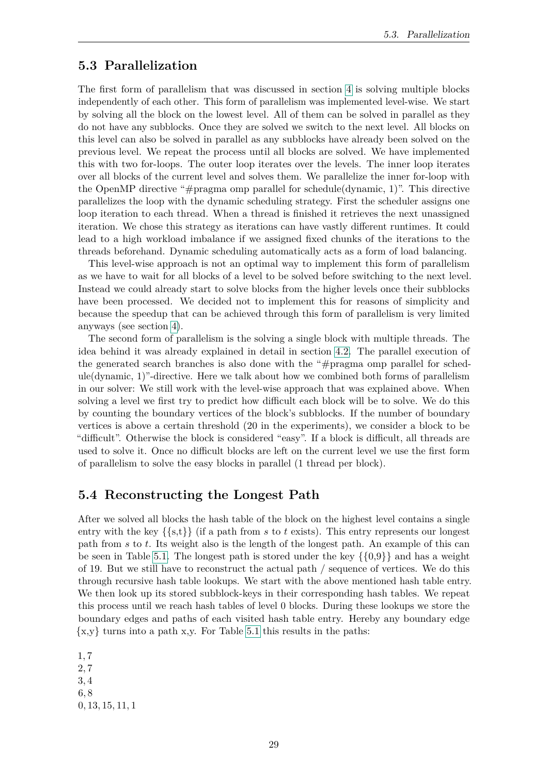#### <span id="page-36-0"></span>**5.3 Parallelization**

The first form of parallelism that was discussed in section [4](#page-26-0) is solving multiple blocks independently of each other. This form of parallelism was implemented level-wise. We start by solving all the block on the lowest level. All of them can be solved in parallel as they do not have any subblocks. Once they are solved we switch to the next level. All blocks on this level can also be solved in parallel as any subblocks have already been solved on the previous level. We repeat the process until all blocks are solved. We have implemented this with two for-loops. The outer loop iterates over the levels. The inner loop iterates over all blocks of the current level and solves them. We parallelize the inner for-loop with the OpenMP directive "#pragma omp parallel for schedule(dynamic, 1)". This directive parallelizes the loop with the dynamic scheduling strategy. First the scheduler assigns one loop iteration to each thread. When a thread is finished it retrieves the next unassigned iteration. We chose this strategy as iterations can have vastly different runtimes. It could lead to a high workload imbalance if we assigned fixed chunks of the iterations to the threads beforehand. Dynamic scheduling automatically acts as a form of load balancing.

This level-wise approach is not an optimal way to implement this form of parallelism as we have to wait for all blocks of a level to be solved before switching to the next level. Instead we could already start to solve blocks from the higher levels once their subblocks have been processed. We decided not to implement this for reasons of simplicity and because the speedup that can be achieved through this form of parallelism is very limited anyways (see section [4\)](#page-26-0).

The second form of parallelism is the solving a single block with multiple threads. The idea behind it was already explained in detail in section [4.2.](#page-26-2) The parallel execution of the generated search branches is also done with the "#pragma omp parallel for schedule(dynamic, 1)"-directive. Here we talk about how we combined both forms of parallelism in our solver: We still work with the level-wise approach that was explained above. When solving a level we first try to predict how difficult each block will be to solve. We do this by counting the boundary vertices of the block's subblocks. If the number of boundary vertices is above a certain threshold (20 in the experiments), we consider a block to be "difficult". Otherwise the block is considered "easy". If a block is difficult, all threads are used to solve it. Once no difficult blocks are left on the current level we use the first form of parallelism to solve the easy blocks in parallel (1 thread per block).

#### <span id="page-36-1"></span>**5.4 Reconstructing the Longest Path**

After we solved all blocks the hash table of the block on the highest level contains a single entry with the key  $\{\{s,t\}\}\$  (if a path from *s* to *t* exists). This entry represents our longest path from *s* to *t*. Its weight also is the length of the longest path. An example of this can be seen in Table [5.1.](#page-32-0) The longest path is stored under the key  $\{\{0,9\}\}\$  and has a weight of 19. But we still have to reconstruct the actual path / sequence of vertices. We do this through recursive hash table lookups. We start with the above mentioned hash table entry. We then look up its stored subblock-keys in their corresponding hash tables. We repeat this process until we reach hash tables of level 0 blocks. During these lookups we store the boundary edges and paths of each visited hash table entry. Hereby any boundary edge  $\{x,y\}$  turns into a path x,y. For Table [5.1](#page-32-0) this results in the paths:

1*,* 7 2*,* 7 3*,* 4 6*,* 8 0*,* 13*,* 15*,* 11*,* 1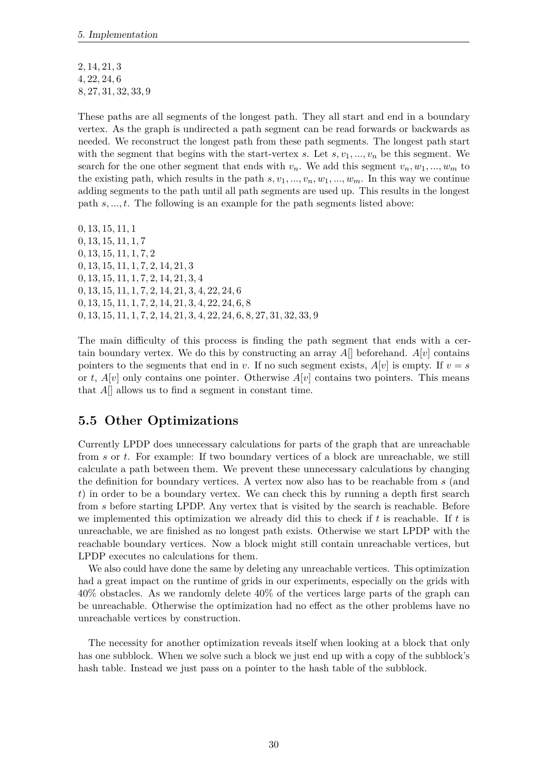2*,* 14*,* 21*,* 3 4*,* 22*,* 24*,* 6 8*,* 27*,* 31*,* 32*,* 33*,* 9

These paths are all segments of the longest path. They all start and end in a boundary vertex. As the graph is undirected a path segment can be read forwards or backwards as needed. We reconstruct the longest path from these path segments. The longest path start with the segment that begins with the start-vertex *s*. Let  $s, v_1, ..., v_n$  be this segment. We search for the one other segment that ends with  $v_n$ . We add this segment  $v_n, w_1, ..., w_m$  to the existing path, which results in the path  $s, v_1, ..., v_n, w_1, ..., w_m$ . In this way we continue adding segments to the path until all path segments are used up. This results in the longest path *s, ..., t*. The following is an example for the path segments listed above:

*,* 13*,* 15*,* 11*,* 1 *,* 13*,* 15*,* 11*,* 1*,* 7 *,* 13*,* 15*,* 11*,* 1*,* 7*,* 2 *,* 13*,* 15*,* 11*,* 1*,* 7*,* 2*,* 14*,* 21*,* 3 *,* 13*,* 15*,* 11*,* 1*,* 7*,* 2*,* 14*,* 21*,* 3*,* 4 *,* 13*,* 15*,* 11*,* 1*,* 7*,* 2*,* 14*,* 21*,* 3*,* 4*,* 22*,* 24*,* 6 *,* 13*,* 15*,* 11*,* 1*,* 7*,* 2*,* 14*,* 21*,* 3*,* 4*,* 22*,* 24*,* 6*,* 8 *,* 13*,* 15*,* 11*,* 1*,* 7*,* 2*,* 14*,* 21*,* 3*,* 4*,* 22*,* 24*,* 6*,* 8*,* 27*,* 31*,* 32*,* 33*,* 9

The main difficulty of this process is finding the path segment that ends with a certain boundary vertex. We do this by constructing an array  $A[\]$  beforehand.  $A[v]$  contains pointers to the segments that end in *v*. If no such segment exists,  $A[v]$  is empty. If  $v = s$ or *t*,  $A[v]$  only contains one pointer. Otherwise  $A[v]$  contains two pointers. This means that *A*[] allows us to find a segment in constant time.

#### <span id="page-37-0"></span>**5.5 Other Optimizations**

Currently LPDP does unnecessary calculations for parts of the graph that are unreachable from *s* or *t*. For example: If two boundary vertices of a block are unreachable, we still calculate a path between them. We prevent these unnecessary calculations by changing the definition for boundary vertices. A vertex now also has to be reachable from *s* (and *t*) in order to be a boundary vertex. We can check this by running a depth first search from *s* before starting LPDP. Any vertex that is visited by the search is reachable. Before we implemented this optimization we already did this to check if *t* is reachable. If *t* is unreachable, we are finished as no longest path exists. Otherwise we start LPDP with the reachable boundary vertices. Now a block might still contain unreachable vertices, but LPDP executes no calculations for them.

We also could have done the same by deleting any unreachable vertices. This optimization had a great impact on the runtime of grids in our experiments, especially on the grids with 40% obstacles. As we randomly delete 40% of the vertices large parts of the graph can be unreachable. Otherwise the optimization had no effect as the other problems have no unreachable vertices by construction.

The necessity for another optimization reveals itself when looking at a block that only has one subblock. When we solve such a block we just end up with a copy of the subblock's hash table. Instead we just pass on a pointer to the hash table of the subblock.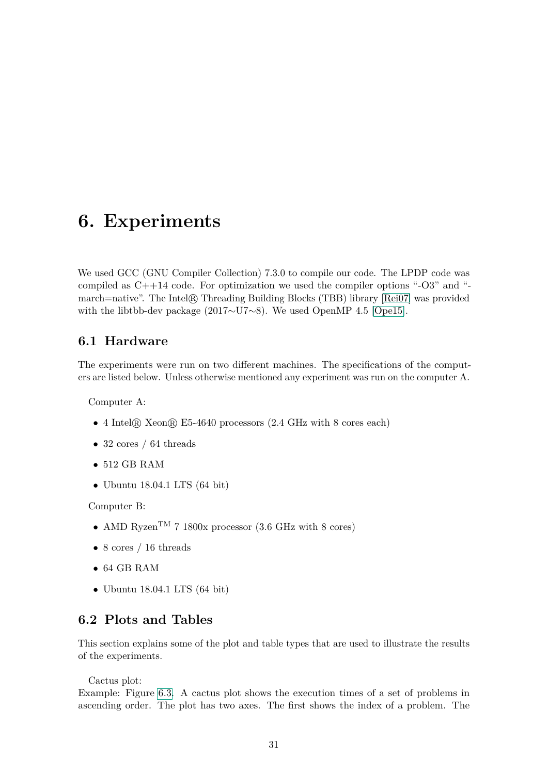## <span id="page-38-0"></span>**6. Experiments**

We used GCC (GNU Compiler Collection) 7.3.0 to compile our code. The LPDP code was compiled as  $C++14$  code. For optimization we used the compiler options " $-O3$ " and "march=native". The Intel R Threading Building Blocks (TBB) library [\[Rei07\]](#page-55-4) was provided with the libtbb-dev package (2017∼U7∼8). We used OpenMP 4.5 [\[Ope15\]](#page-54-9).

#### <span id="page-38-1"></span>**6.1 Hardware**

The experiments were run on two different machines. The specifications of the computers are listed below. Unless otherwise mentioned any experiment was run on the computer A.

Computer A:

- 4 Intel® Xeon® E5-4640 processors (2.4 GHz with 8 cores each)
- 32 cores / 64 threads
- 512 GB RAM
- Ubuntu 18.04.1 LTS (64 bit)

Computer B:

- AMD Ryzen<sup>TM</sup> 7 1800x processor (3.6 GHz with 8 cores)
- 8 cores / 16 threads
- 64 GB RAM
- Ubuntu 18.04.1 LTS (64 bit)

#### <span id="page-38-2"></span>**6.2 Plots and Tables**

This section explains some of the plot and table types that are used to illustrate the results of the experiments.

Cactus plot:

Example: Figure [6.3.](#page-43-0) A cactus plot shows the execution times of a set of problems in ascending order. The plot has two axes. The first shows the index of a problem. The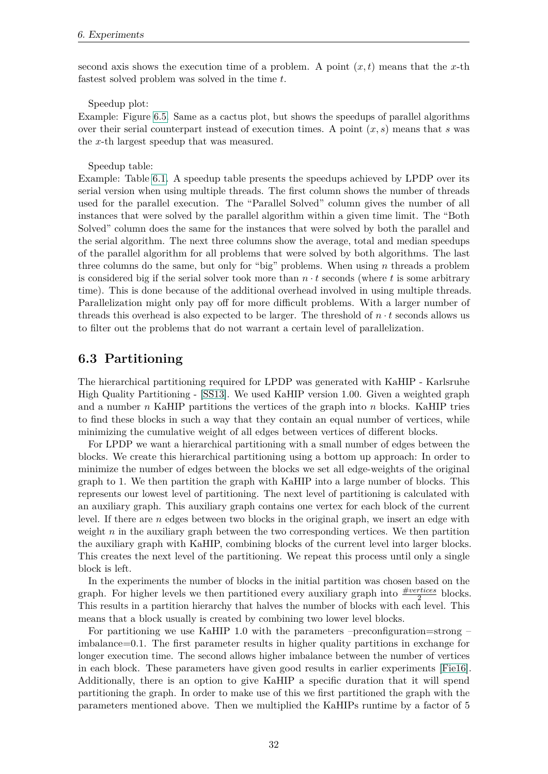second axis shows the execution time of a problem. A point  $(x, t)$  means that the *x*-th fastest solved problem was solved in the time *t*.

Speedup plot:

Example: Figure [6.5.](#page-47-0) Same as a cactus plot, but shows the speedups of parallel algorithms over their serial counterpart instead of execution times. A point (*x, s*) means that *s* was the *x*-th largest speedup that was measured.

Speedup table:

Example: Table [6.1.](#page-43-1) A speedup table presents the speedups achieved by LPDP over its serial version when using multiple threads. The first column shows the number of threads used for the parallel execution. The "Parallel Solved" column gives the number of all instances that were solved by the parallel algorithm within a given time limit. The "Both Solved" column does the same for the instances that were solved by both the parallel and the serial algorithm. The next three columns show the average, total and median speedups of the parallel algorithm for all problems that were solved by both algorithms. The last three columns do the same, but only for "big" problems. When using *n* threads a problem is considered big if the serial solver took more than  $n \cdot t$  seconds (where  $t$  is some arbitrary time). This is done because of the additional overhead involved in using multiple threads. Parallelization might only pay off for more difficult problems. With a larger number of threads this overhead is also expected to be larger. The threshold of  $n \cdot t$  seconds allows us to filter out the problems that do not warrant a certain level of parallelization.

#### <span id="page-39-0"></span>**6.3 Partitioning**

The hierarchical partitioning required for LPDP was generated with KaHIP - Karlsruhe High Quality Partitioning - [\[SS13\]](#page-55-5). We used KaHIP version 1.00. Given a weighted graph and a number *n* KaHIP partitions the vertices of the graph into *n* blocks. KaHIP tries to find these blocks in such a way that they contain an equal number of vertices, while minimizing the cumulative weight of all edges between vertices of different blocks.

For LPDP we want a hierarchical partitioning with a small number of edges between the blocks. We create this hierarchical partitioning using a bottom up approach: In order to minimize the number of edges between the blocks we set all edge-weights of the original graph to 1. We then partition the graph with KaHIP into a large number of blocks. This represents our lowest level of partitioning. The next level of partitioning is calculated with an auxiliary graph. This auxiliary graph contains one vertex for each block of the current level. If there are *n* edges between two blocks in the original graph, we insert an edge with weight *n* in the auxiliary graph between the two corresponding vertices. We then partition the auxiliary graph with KaHIP, combining blocks of the current level into larger blocks. This creates the next level of the partitioning. We repeat this process until only a single block is left.

In the experiments the number of blocks in the initial partition was chosen based on the graph. For higher levels we then partitioned every auxiliary graph into  $\frac{\text{\#vertices}}{2}$  blocks. This results in a partition hierarchy that halves the number of blocks with each level. This means that a block usually is created by combining two lower level blocks.

For partitioning we use KaHIP 1.0 with the parameters –preconfiguration=strong – imbalance=0.1. The first parameter results in higher quality partitions in exchange for longer execution time. The second allows higher imbalance between the number of vertices in each block. These parameters have given good results in earlier experiments [\[Fie16\]](#page-54-4). Additionally, there is an option to give KaHIP a specific duration that it will spend partitioning the graph. In order to make use of this we first partitioned the graph with the parameters mentioned above. Then we multiplied the KaHIPs runtime by a factor of 5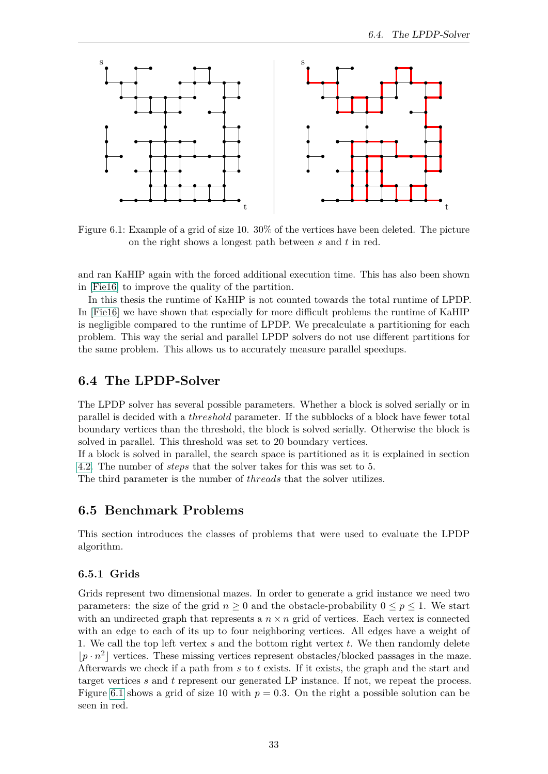

<span id="page-40-3"></span>Figure 6.1: Example of a grid of size 10. 30% of the vertices have been deleted. The picture on the right shows a longest path between *s* and *t* in red.

and ran KaHIP again with the forced additional execution time. This has also been shown in [\[Fie16\]](#page-54-4) to improve the quality of the partition.

In this thesis the runtime of KaHIP is not counted towards the total runtime of LPDP. In [\[Fie16\]](#page-54-4) we have shown that especially for more difficult problems the runtime of KaHIP is negligible compared to the runtime of LPDP. We precalculate a partitioning for each problem. This way the serial and parallel LPDP solvers do not use different partitions for the same problem. This allows us to accurately measure parallel speedups.

#### <span id="page-40-0"></span>**6.4 The LPDP-Solver**

The LPDP solver has several possible parameters. Whether a block is solved serially or in parallel is decided with a *threshold* parameter. If the subblocks of a block have fewer total boundary vertices than the threshold, the block is solved serially. Otherwise the block is solved in parallel. This threshold was set to 20 boundary vertices.

If a block is solved in parallel, the search space is partitioned as it is explained in section [4.2.](#page-26-2) The number of *steps* that the solver takes for this was set to 5.

The third parameter is the number of *threads* that the solver utilizes.

#### <span id="page-40-1"></span>**6.5 Benchmark Problems**

This section introduces the classes of problems that were used to evaluate the LPDP algorithm.

#### <span id="page-40-2"></span>**6.5.1 Grids**

Grids represent two dimensional mazes. In order to generate a grid instance we need two parameters: the size of the grid  $n \geq 0$  and the obstacle-probability  $0 \leq p \leq 1$ . We start with an undirected graph that represents a  $n \times n$  grid of vertices. Each vertex is connected with an edge to each of its up to four neighboring vertices. All edges have a weight of 1. We call the top left vertex *s* and the bottom right vertex *t*. We then randomly delete  $|p \cdot n^2|$  vertices. These missing vertices represent obstacles/blocked passages in the maze. Afterwards we check if a path from *s* to *t* exists. If it exists, the graph and the start and target vertices *s* and *t* represent our generated LP instance. If not, we repeat the process. Figure [6.1](#page-40-3) shows a grid of size 10 with  $p = 0.3$ . On the right a possible solution can be seen in red.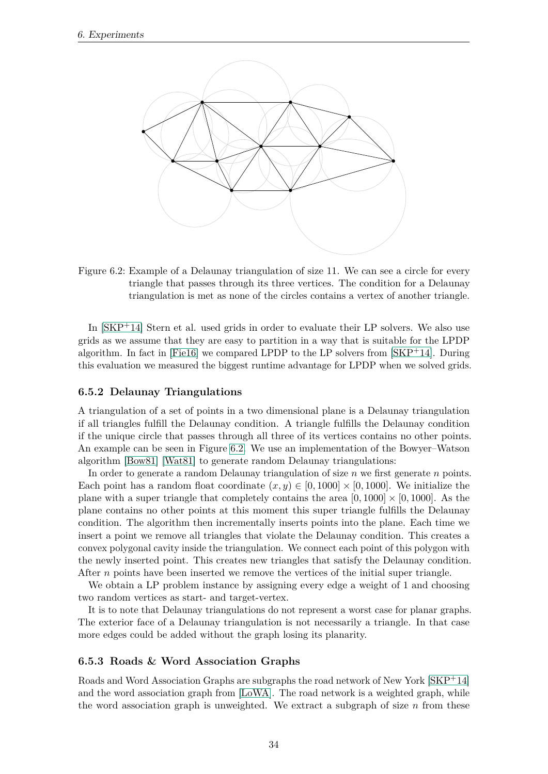

<span id="page-41-2"></span>Figure 6.2: Example of a Delaunay triangulation of size 11. We can see a circle for every triangle that passes through its three vertices. The condition for a Delaunay triangulation is met as none of the circles contains a vertex of another triangle.

In [\[SKP](#page-55-3)+14] Stern et al. used grids in order to evaluate their LP solvers. We also use grids as we assume that they are easy to partition in a way that is suitable for the LPDP algorithm. In fact in  $[Field]$  we compared LPDP to the LP solvers from  $[SKP+14]$  $[SKP+14]$ . During this evaluation we measured the biggest runtime advantage for LPDP when we solved grids.

#### <span id="page-41-0"></span>**6.5.2 Delaunay Triangulations**

A triangulation of a set of points in a two dimensional plane is a Delaunay triangulation if all triangles fulfill the Delaunay condition. A triangle fulfills the Delaunay condition if the unique circle that passes through all three of its vertices contains no other points. An example can be seen in Figure [6.2.](#page-41-2) We use an implementation of the Bowyer–Watson algorithm [\[Bow81\]](#page-54-10) [\[Wat81\]](#page-55-6) to generate random Delaunay triangulations:

In order to generate a random Delaunay triangulation of size *n* we first generate *n* points. Each point has a random float coordinate  $(x, y) \in [0, 1000] \times [0, 1000]$ . We initialize the plane with a super triangle that completely contains the area  $[0, 1000] \times [0, 1000]$ . As the plane contains no other points at this moment this super triangle fulfills the Delaunay condition. The algorithm then incrementally inserts points into the plane. Each time we insert a point we remove all triangles that violate the Delaunay condition. This creates a convex polygonal cavity inside the triangulation. We connect each point of this polygon with the newly inserted point. This creates new triangles that satisfy the Delaunay condition. After *n* points have been inserted we remove the vertices of the initial super triangle.

We obtain a LP problem instance by assigning every edge a weight of 1 and choosing two random vertices as start- and target-vertex.

It is to note that Delaunay triangulations do not represent a worst case for planar graphs. The exterior face of a Delaunay triangulation is not necessarily a triangle. In that case more edges could be added without the graph losing its planarity.

#### <span id="page-41-1"></span>**6.5.3 Roads & Word Association Graphs**

Roads and Word Association Graphs are subgraphs the road network of New York [\[SKP](#page-55-3)+14] and the word association graph from [\[LoWA\]](#page-54-11). The road network is a weighted graph, while the word association graph is unweighted. We extract a subgraph of size  $n$  from these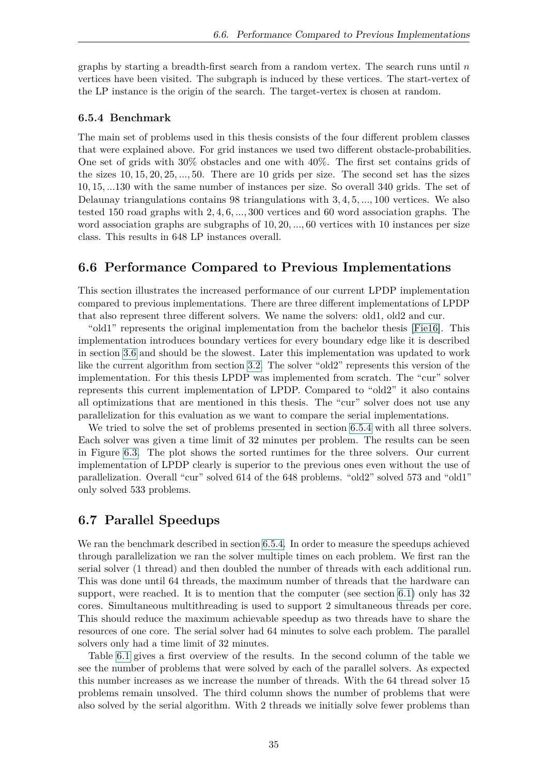graphs by starting a breadth-first search from a random vertex. The search runs until *n* vertices have been visited. The subgraph is induced by these vertices. The start-vertex of the LP instance is the origin of the search. The target-vertex is chosen at random.

#### <span id="page-42-0"></span>**6.5.4 Benchmark**

The main set of problems used in this thesis consists of the four different problem classes that were explained above. For grid instances we used two different obstacle-probabilities. One set of grids with 30% obstacles and one with 40%. The first set contains grids of the sizes 10*,* 15*,* 20*,* 25*, ...,* 50. There are 10 grids per size. The second set has the sizes 10*,* 15*, ...*130 with the same number of instances per size. So overall 340 grids. The set of Delaunay triangulations contains 98 triangulations with 3*,* 4*,* 5*, ...,* 100 vertices. We also tested 150 road graphs with 2*,* 4*,* 6*, ...,* 300 vertices and 60 word association graphs. The word association graphs are subgraphs of 10*,* 20*, ...,* 60 vertices with 10 instances per size class. This results in 648 LP instances overall.

#### <span id="page-42-1"></span>**6.6 Performance Compared to Previous Implementations**

This section illustrates the increased performance of our current LPDP implementation compared to previous implementations. There are three different implementations of LPDP that also represent three different solvers. We name the solvers: old1, old2 and cur.

"old1" represents the original implementation from the bachelor thesis [\[Fie16\]](#page-54-4). This implementation introduces boundary vertices for every boundary edge like it is described in section [3.6](#page-24-0) and should be the slowest. Later this implementation was updated to work like the current algorithm from section [3.2.](#page-15-0) The solver "old2" represents this version of the implementation. For this thesis LPDP was implemented from scratch. The "cur" solver represents this current implementation of LPDP. Compared to "old2" it also contains all optimizations that are mentioned in this thesis. The "cur" solver does not use any parallelization for this evaluation as we want to compare the serial implementations.

We tried to solve the set of problems presented in section [6.5.4](#page-42-0) with all three solvers. Each solver was given a time limit of 32 minutes per problem. The results can be seen in Figure [6.3.](#page-43-0) The plot shows the sorted runtimes for the three solvers. Our current implementation of LPDP clearly is superior to the previous ones even without the use of parallelization. Overall "cur" solved 614 of the 648 problems. "old2" solved 573 and "old1" only solved 533 problems.

#### <span id="page-42-2"></span>**6.7 Parallel Speedups**

We ran the benchmark described in section [6.5.4.](#page-42-0) In order to measure the speedups achieved through parallelization we ran the solver multiple times on each problem. We first ran the serial solver (1 thread) and then doubled the number of threads with each additional run. This was done until 64 threads, the maximum number of threads that the hardware can support, were reached. It is to mention that the computer (see section [6.1\)](#page-38-1) only has 32 cores. Simultaneous multithreading is used to support 2 simultaneous threads per core. This should reduce the maximum achievable speedup as two threads have to share the resources of one core. The serial solver had 64 minutes to solve each problem. The parallel solvers only had a time limit of 32 minutes.

Table [6.1](#page-43-1) gives a first overview of the results. In the second column of the table we see the number of problems that were solved by each of the parallel solvers. As expected this number increases as we increase the number of threads. With the 64 thread solver 15 problems remain unsolved. The third column shows the number of problems that were also solved by the serial algorithm. With 2 threads we initially solve fewer problems than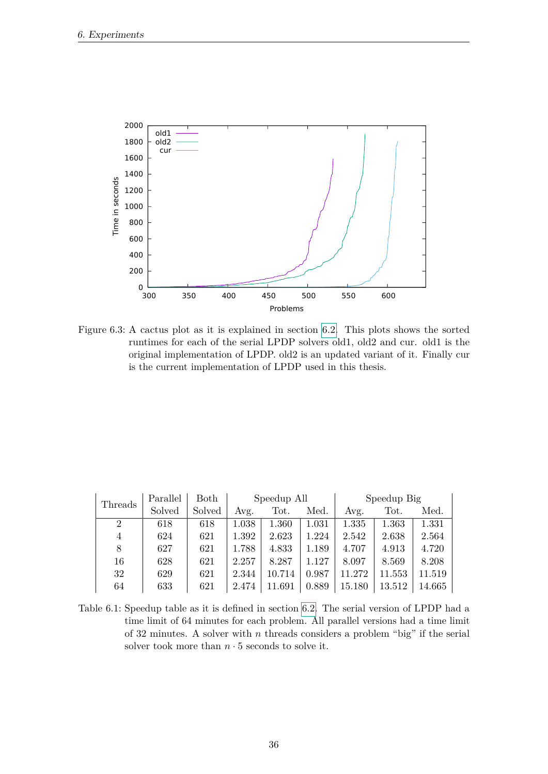

<span id="page-43-0"></span>Figure 6.3: A cactus plot as it is explained in section [6.2.](#page-38-2) This plots shows the sorted runtimes for each of the serial LPDP solvers old1, old2 and cur. old1 is the original implementation of LPDP. old2 is an updated variant of it. Finally cur is the current implementation of LPDP used in this thesis.

| Threads        | Parallel | Both   | Speedup All |        |       |        | Speedup Big |        |
|----------------|----------|--------|-------------|--------|-------|--------|-------------|--------|
|                | Solved   | Solved | Avg.        | Tot.   | Med.  | Avg.   | Tot.        | Med.   |
| $\overline{2}$ | 618      | 618    | 1.038       | 1.360  | 1.031 | 1.335  | 1.363       | 1.331  |
| 4              | 624      | 621    | 1.392       | 2.623  | 1.224 | 2.542  | 2.638       | 2.564  |
| 8              | 627      | 621    | 1.788       | 4.833  | 1.189 | 4.707  | 4.913       | 4.720  |
| 16             | 628      | 621    | 2.257       | 8.287  | 1.127 | 8.097  | 8.569       | 8.208  |
| 32             | 629      | 621    | 2.344       | 10.714 | 0.987 | 11.272 | 11.553      | 11.519 |
| 64             | 633      | 621    | 2.474       | 11.691 | 0.889 | 15.180 | 13.512      | 14.665 |

<span id="page-43-1"></span>Table 6.1: Speedup table as it is defined in section [6.2.](#page-38-2) The serial version of LPDP had a time limit of 64 minutes for each problem. All parallel versions had a time limit of 32 minutes. A solver with *n* threads considers a problem "big" if the serial solver took more than  $n \cdot 5$  seconds to solve it.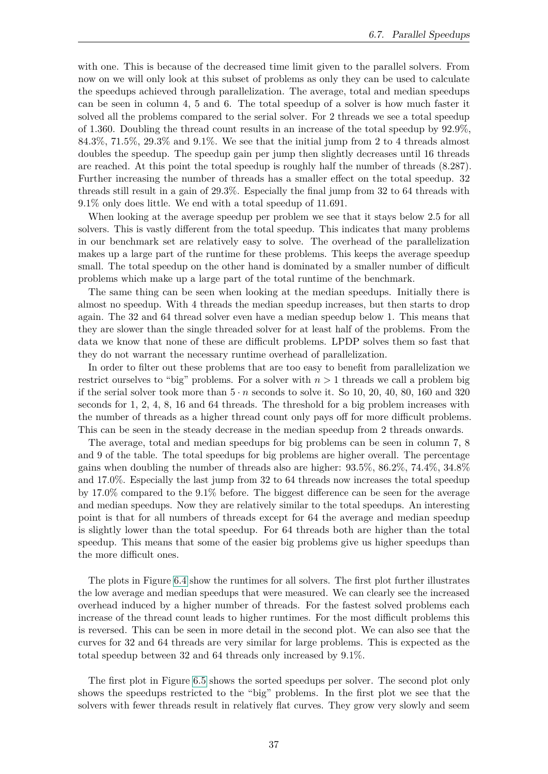with one. This is because of the decreased time limit given to the parallel solvers. From now on we will only look at this subset of problems as only they can be used to calculate the speedups achieved through parallelization. The average, total and median speedups can be seen in column 4, 5 and 6. The total speedup of a solver is how much faster it solved all the problems compared to the serial solver. For 2 threads we see a total speedup of 1.360. Doubling the thread count results in an increase of the total speedup by 92.9%,  $84.3\%, 71.5\%, 29.3\%$  and  $9.1\%$ . We see that the initial jump from 2 to 4 threads almost doubles the speedup. The speedup gain per jump then slightly decreases until 16 threads are reached. At this point the total speedup is roughly half the number of threads (8.287). Further increasing the number of threads has a smaller effect on the total speedup. 32 threads still result in a gain of 29.3%. Especially the final jump from 32 to 64 threads with 9.1% only does little. We end with a total speedup of 11.691.

When looking at the average speedup per problem we see that it stays below 2.5 for all solvers. This is vastly different from the total speedup. This indicates that many problems in our benchmark set are relatively easy to solve. The overhead of the parallelization makes up a large part of the runtime for these problems. This keeps the average speedup small. The total speedup on the other hand is dominated by a smaller number of difficult problems which make up a large part of the total runtime of the benchmark.

The same thing can be seen when looking at the median speedups. Initially there is almost no speedup. With 4 threads the median speedup increases, but then starts to drop again. The 32 and 64 thread solver even have a median speedup below 1. This means that they are slower than the single threaded solver for at least half of the problems. From the data we know that none of these are difficult problems. LPDP solves them so fast that they do not warrant the necessary runtime overhead of parallelization.

In order to filter out these problems that are too easy to benefit from parallelization we restrict ourselves to "big" problems. For a solver with  $n > 1$  threads we call a problem big if the serial solver took more than  $5 \cdot n$  seconds to solve it. So 10, 20, 40, 80, 160 and 320 seconds for 1, 2, 4, 8, 16 and 64 threads. The threshold for a big problem increases with the number of threads as a higher thread count only pays off for more difficult problems. This can be seen in the steady decrease in the median speedup from 2 threads onwards.

The average, total and median speedups for big problems can be seen in column 7, 8 and 9 of the table. The total speedups for big problems are higher overall. The percentage gains when doubling the number of threads also are higher: 93.5%, 86.2%, 74.4%, 34.8% and 17.0%. Especially the last jump from 32 to 64 threads now increases the total speedup by 17.0% compared to the 9.1% before. The biggest difference can be seen for the average and median speedups. Now they are relatively similar to the total speedups. An interesting point is that for all numbers of threads except for 64 the average and median speedup is slightly lower than the total speedup. For 64 threads both are higher than the total speedup. This means that some of the easier big problems give us higher speedups than the more difficult ones.

The plots in Figure [6.4](#page-46-0) show the runtimes for all solvers. The first plot further illustrates the low average and median speedups that were measured. We can clearly see the increased overhead induced by a higher number of threads. For the fastest solved problems each increase of the thread count leads to higher runtimes. For the most difficult problems this is reversed. This can be seen in more detail in the second plot. We can also see that the curves for 32 and 64 threads are very similar for large problems. This is expected as the total speedup between 32 and 64 threads only increased by 9.1%.

The first plot in Figure [6.5](#page-47-0) shows the sorted speedups per solver. The second plot only shows the speedups restricted to the "big" problems. In the first plot we see that the solvers with fewer threads result in relatively flat curves. They grow very slowly and seem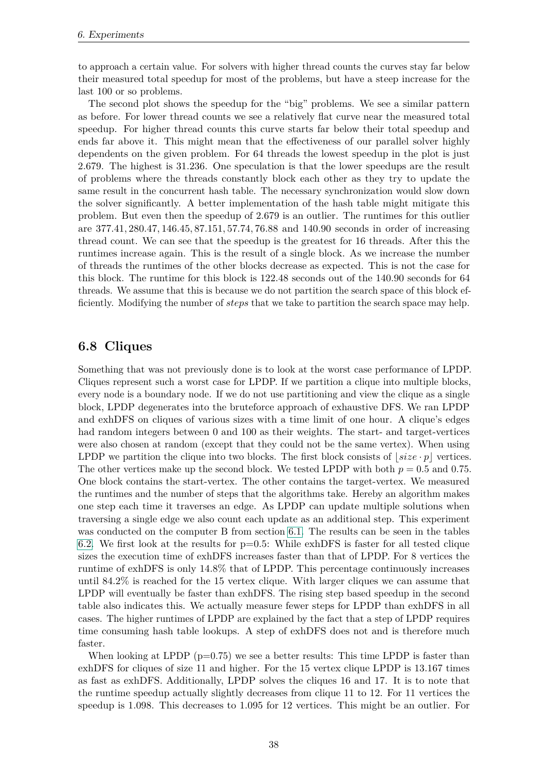to approach a certain value. For solvers with higher thread counts the curves stay far below their measured total speedup for most of the problems, but have a steep increase for the last 100 or so problems.

The second plot shows the speedup for the "big" problems. We see a similar pattern as before. For lower thread counts we see a relatively flat curve near the measured total speedup. For higher thread counts this curve starts far below their total speedup and ends far above it. This might mean that the effectiveness of our parallel solver highly dependents on the given problem. For 64 threads the lowest speedup in the plot is just 2.679. The highest is 31.236. One speculation is that the lower speedups are the result of problems where the threads constantly block each other as they try to update the same result in the concurrent hash table. The necessary synchronization would slow down the solver significantly. A better implementation of the hash table might mitigate this problem. But even then the speedup of 2.679 is an outlier. The runtimes for this outlier are 377*.*41*,* 280*.*47*,* 146*.*45*,* 87*.*151*,* 57*.*74*,* 76*.*88 and 140*.*90 seconds in order of increasing thread count. We can see that the speedup is the greatest for 16 threads. After this the runtimes increase again. This is the result of a single block. As we increase the number of threads the runtimes of the other blocks decrease as expected. This is not the case for this block. The runtime for this block is 122*.*48 seconds out of the 140*.*90 seconds for 64 threads. We assume that this is because we do not partition the search space of this block efficiently. Modifying the number of *steps* that we take to partition the search space may help.

#### <span id="page-45-0"></span>**6.8 Cliques**

Something that was not previously done is to look at the worst case performance of LPDP. Cliques represent such a worst case for LPDP. If we partition a clique into multiple blocks, every node is a boundary node. If we do not use partitioning and view the clique as a single block, LPDP degenerates into the bruteforce approach of exhaustive DFS. We ran LPDP and exhDFS on cliques of various sizes with a time limit of one hour. A clique's edges had random integers between 0 and 100 as their weights. The start- and target-vertices were also chosen at random (except that they could not be the same vertex). When using LPDP we partition the clique into two blocks. The first block consists of  $\left| size \cdot p \right|$  vertices. The other vertices make up the second block. We tested LPDP with both  $p = 0.5$  and 0.75. One block contains the start-vertex. The other contains the target-vertex. We measured the runtimes and the number of steps that the algorithms take. Hereby an algorithm makes one step each time it traverses an edge. As LPDP can update multiple solutions when traversing a single edge we also count each update as an additional step. This experiment was conducted on the computer B from section [6.1.](#page-38-1) The results can be seen in the tables [6.2.](#page-49-0) We first look at the results for  $p=0.5$ : While exhDFS is faster for all tested clique sizes the execution time of exhDFS increases faster than that of LPDP. For 8 vertices the runtime of exhDFS is only 14.8% that of LPDP. This percentage continuously increases until 84.2% is reached for the 15 vertex clique. With larger cliques we can assume that LPDP will eventually be faster than exhDFS. The rising step based speedup in the second table also indicates this. We actually measure fewer steps for LPDP than exhDFS in all cases. The higher runtimes of LPDP are explained by the fact that a step of LPDP requires time consuming hash table lookups. A step of exhDFS does not and is therefore much faster.

When looking at LPDP  $(p=0.75)$  we see a better results: This time LPDP is faster than exhDFS for cliques of size 11 and higher. For the 15 vertex clique LPDP is 13.167 times as fast as exhDFS. Additionally, LPDP solves the cliques 16 and 17. It is to note that the runtime speedup actually slightly decreases from clique 11 to 12. For 11 vertices the speedup is 1.098. This decreases to 1.095 for 12 vertices. This might be an outlier. For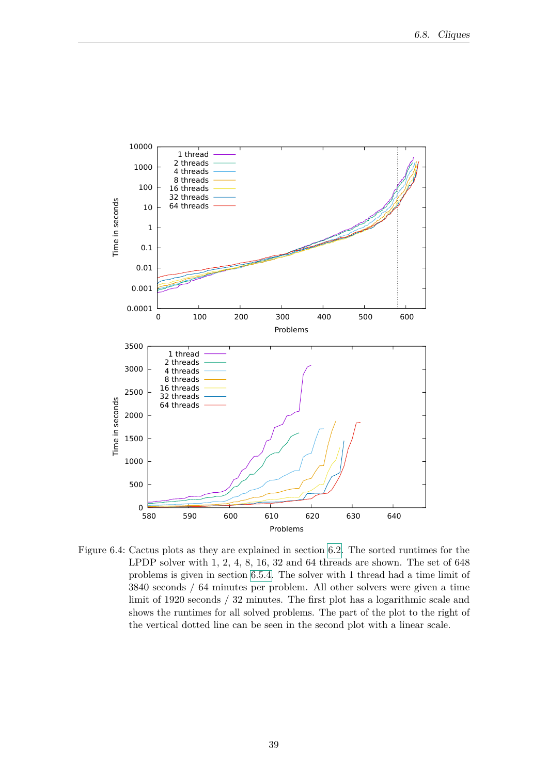

<span id="page-46-0"></span>Figure 6.4: Cactus plots as they are explained in section [6.2.](#page-38-2) The sorted runtimes for the LPDP solver with 1, 2, 4, 8, 16, 32 and 64 threads are shown. The set of 648 problems is given in section [6.5.4.](#page-42-0) The solver with 1 thread had a time limit of 3840 seconds / 64 minutes per problem. All other solvers were given a time limit of 1920 seconds / 32 minutes. The first plot has a logarithmic scale and shows the runtimes for all solved problems. The part of the plot to the right of the vertical dotted line can be seen in the second plot with a linear scale.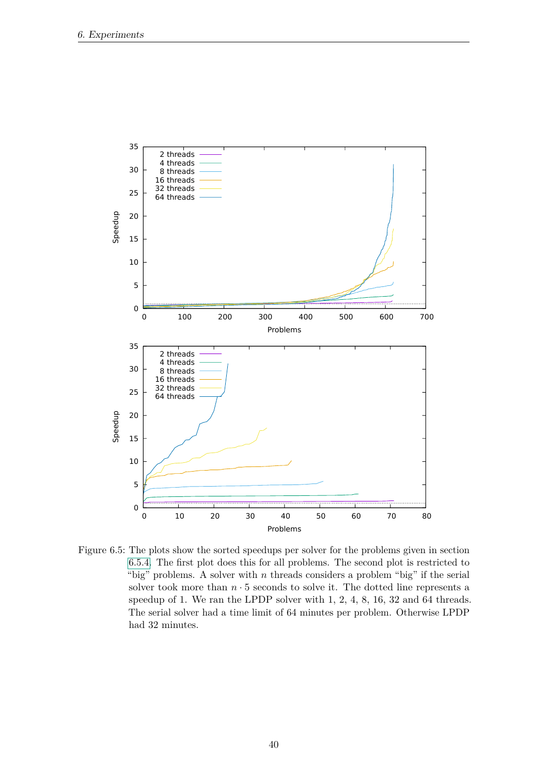

<span id="page-47-0"></span>Figure 6.5: The plots show the sorted speedups per solver for the problems given in section [6.5.4.](#page-42-0) The first plot does this for all problems. The second plot is restricted to "big" problems. A solver with *n* threads considers a problem "big" if the serial solver took more than  $n \cdot 5$  seconds to solve it. The dotted line represents a speedup of 1. We ran the LPDP solver with 1, 2, 4, 8, 16, 32 and 64 threads. The serial solver had a time limit of 64 minutes per problem. Otherwise LPDP had 32 minutes.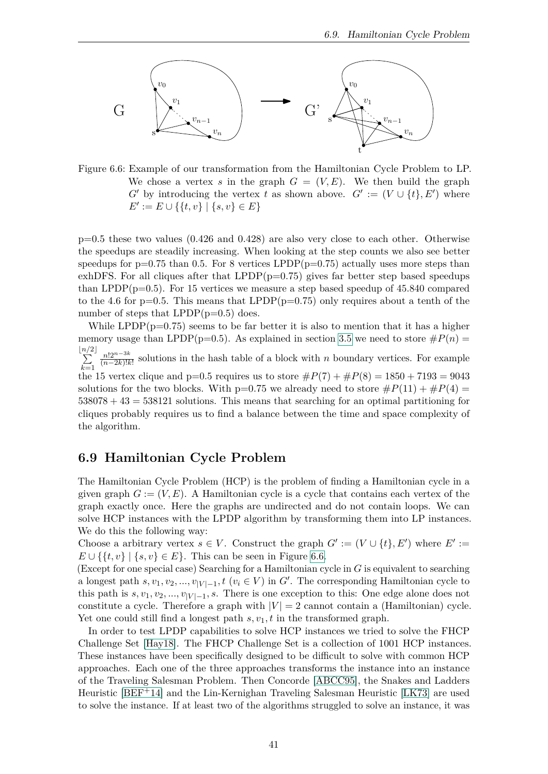

<span id="page-48-1"></span>Figure 6.6: Example of our transformation from the Hamiltonian Cycle Problem to LP. We chose a vertex *s* in the graph  $G = (V, E)$ . We then build the graph *G*<sup> $\prime$ </sup> by introducing the vertex *t* as shown above.  $G' := (V \cup \{t\}, E')$  where  $E' := E \cup \{\{t, v\} \mid \{s, v\} \in E\}$ 

 $p=0.5$  these two values  $(0.426 \text{ and } 0.428)$  are also very close to each other. Otherwise the speedups are steadily increasing. When looking at the step counts we also see better speedups for  $p=0.75$  than 0.5. For 8 vertices LPDP( $p=0.75$ ) actually uses more steps than exhDFS. For all cliques after that  $LPDP(p=0.75)$  gives far better step based speedups than LPDP( $p=0.5$ ). For 15 vertices we measure a step based speedup of 45.840 compared to the 4.6 for  $p=0.5$ . This means that LPDP( $p=0.75$ ) only requires about a tenth of the number of steps that  $LPDP(p=0.5)$  does.

While LPDP( $p=0.75$ ) seems to be far better it is also to mention that it has a higher memory usage than LPDP(p=0.5). As explained in section [3.5](#page-23-0) we need to store  $\#P(n)$ b*n/* P  $2$ *k*=1 *n*!2*n*−3*<sup>k</sup>*  $\frac{n!2^{n-3k}}{(n-2k)!k!}$  solutions in the hash table of a block with *n* boundary vertices. For example the 15 vertex clique and p=0.5 requires us to store  $\#P(7) + \#P(8) = 1850 + 7193 = 9043$ solutions for the two blocks. With  $p=0.75$  we already need to store  $\#P(11) + \#P(4) =$ 538078 + 43 = 538121 solutions. This means that searching for an optimal partitioning for cliques probably requires us to find a balance between the time and space complexity of the algorithm.

#### <span id="page-48-0"></span>**6.9 Hamiltonian Cycle Problem**

The Hamiltonian Cycle Problem (HCP) is the problem of finding a Hamiltonian cycle in a given graph  $G := (V, E)$ . A Hamiltonian cycle is a cycle that contains each vertex of the graph exactly once. Here the graphs are undirected and do not contain loops. We can solve HCP instances with the LPDP algorithm by transforming them into LP instances. We do this the following way:

Choose a arbitrary vertex  $s \in V$ . Construct the graph  $G' := (V \cup \{t\}, E')$  where  $E' :=$ *E* ∪ { $\{t, v\}$  | { $s, v$ } ∈ *E*}. This can be seen in Figure [6.6.](#page-48-1)

(Except for one special case) Searching for a Hamiltonian cycle in *G* is equivalent to searching a longest path  $s, v_1, v_2, ..., v_{|V|-1}, t \ (v_i \in V)$  in  $G'$ . The corresponding Hamiltonian cycle to this path is  $s, v_1, v_2, ..., v_{|V|-1}, s$ . There is one exception to this: One edge alone does not constitute a cycle. Therefore a graph with  $|V| = 2$  cannot contain a (Hamiltonian) cycle. Yet one could still find a longest path  $s, v_1, t$  in the transformed graph.

In order to test LPDP capabilities to solve HCP instances we tried to solve the FHCP Challenge Set [\[Hay18\]](#page-54-12). The FHCP Challenge Set is a collection of 1001 HCP instances. These instances have been specifically designed to be difficult to solve with common HCP approaches. Each one of the three approaches transforms the instance into an instance of the Traveling Salesman Problem. Then Concorde [\[ABCC95\]](#page-54-13), the Snakes and Ladders Heuristic [\[BEF](#page-54-14)+14] and the Lin-Kernighan Traveling Salesman Heuristic [\[LK73\]](#page-54-15) are used to solve the instance. If at least two of the algorithms struggled to solve an instance, it was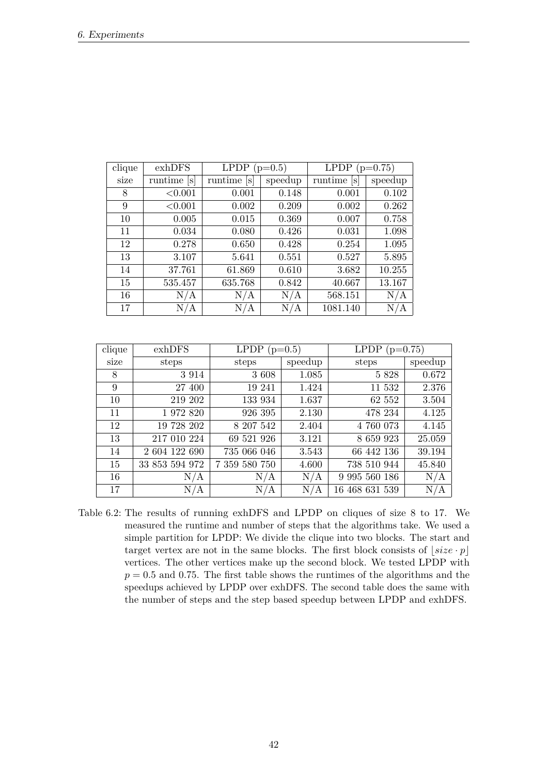| clique | exhDFS      | <b>LPDP</b><br>$(p=0.5)$ |         | <b>LPDP</b><br>$(p=0.75)$ |         |
|--------|-------------|--------------------------|---------|---------------------------|---------|
| size   | runtime [s] | runtime [s]              | speedup | runtime [s]               | speedup |
| 8      | < 0.001     | 0.001                    | 0.148   | 0.001                     | 0.102   |
| 9      | < 0.001     | 0.002                    | 0.209   | 0.002                     | 0.262   |
| 10     | 0.005       | 0.015                    | 0.369   | 0.007                     | 0.758   |
| 11     | 0.034       | 0.080                    | 0.426   | 0.031                     | 1.098   |
| 12     | 0.278       | 0.650                    | 0.428   | 0.254                     | 1.095   |
| 13     | 3.107       | 5.641                    | 0.551   | 0.527                     | 5.895   |
| 14     | 37.761      | 61.869                   | 0.610   | 3.682                     | 10.255  |
| 15     | 535.457     | 635.768                  | 0.842   | 40.667                    | 13.167  |
| 16     | N/A         | N/A                      | N/A     | 568.151                   | N/A     |
| 17     | N/A         | N/A                      | N/A     | 1081.140                  | N/A     |

| clique | exhDFS         | LPDP $(p=0.5)$ |         | LPDP $(p=0.75)$ |         |
|--------|----------------|----------------|---------|-----------------|---------|
| size   | steps          | steps          | speedup | steps           | speedup |
| 8      | 3 9 1 4        | 3 608          | 1.085   | 5 8 2 8         | 0.672   |
| 9      | 27 400         | 19 241         | 1.424   | 11 532          | 2.376   |
| 10     | 219 202        | 133 934        | 1.637   | 62 552          | 3.504   |
| 11     | 1 972 820      | 926 395        | 2.130   | 478 234         | 4.125   |
| 12     | 19 728 202     | 8 207 542      | 2.404   | 4 760 073       | 4.145   |
| 13     | 217 010 224    | 69 521 926     | 3.121   | 8 659 923       | 25.059  |
| 14     | 2 604 122 690  | 735 066 046    | 3.543   | 66 442 136      | 39.194  |
| 15     | 33 853 594 972 | 7 359 580 750  | 4.600   | 738 510 944     | 45.840  |
| 16     | N/A            | N/A            | N/A     | 9 995 560 186   | N/A     |
| 17     | N/A            | N/A            | N/A     | 16 468 631 539  | N/A     |

<span id="page-49-0"></span>Table 6.2: The results of running exhDFS and LPDP on cliques of size 8 to 17. We measured the runtime and number of steps that the algorithms take. We used a simple partition for LPDP: We divide the clique into two blocks. The start and target vertex are not in the same blocks. The first block consists of  $[size \cdot p]$ vertices. The other vertices make up the second block. We tested LPDP with *p* = 0*.*5 and 0*.*75. The first table shows the runtimes of the algorithms and the speedups achieved by LPDP over exhDFS. The second table does the same with the number of steps and the step based speedup between LPDP and exhDFS.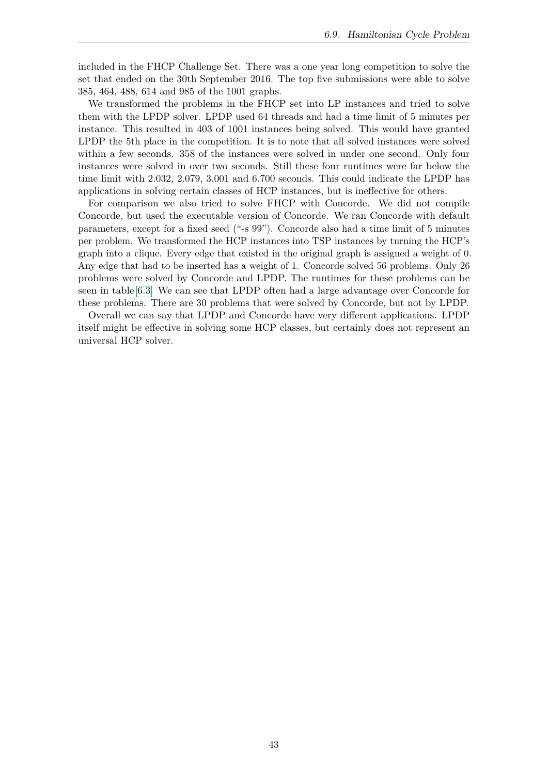included in the FHCP Challenge Set. There was a one year long competition to solve the set that ended on the 30th September 2016. The top five submissions were able to solve 385, 464, 488, 614 and 985 of the 1001 graphs.

We transformed the problems in the FHCP set into LP instances and tried to solve them with the LPDP solver. LPDP used 64 threads and had a time limit of 5 minutes per instance. This resulted in 403 of 1001 instances being solved. This would have granted LPDP the 5th place in the competition. It is to note that all solved instances were solved within a few seconds. 358 of the instances were solved in under one second. Only four instances were solved in over two seconds. Still these four runtimes were far below the time limit with 2.032, 2.079, 3.001 and 6.700 seconds. This could indicate the LPDP has applications in solving certain classes of HCP instances, but is ineffective for others.

For comparison we also tried to solve FHCP with Concorde. We did not compile Concorde, but used the executable version of Concorde. We ran Concorde with default parameters, except for a fixed seed ("-s 99"). Concorde also had a time limit of 5 minutes per problem. We transformed the HCP instances into TSP instances by turning the HCP's graph into a clique. Every edge that existed in the original graph is assigned a weight of 0. Any edge that had to be inserted has a weight of 1. Concorde solved 56 problems. Only 26 problems were solved by Concorde and LPDP. The runtimes for these problems can be seen in table [6.3.](#page-51-0) We can see that LPDP often had a large advantage over Concorde for these problems. There are 30 problems that were solved by Concorde, but not by LPDP.

Overall we can say that LPDP and Concorde have very different applications. LPDP itself might be effective in solving some HCP classes, but certainly does not represent an universal HCP solver.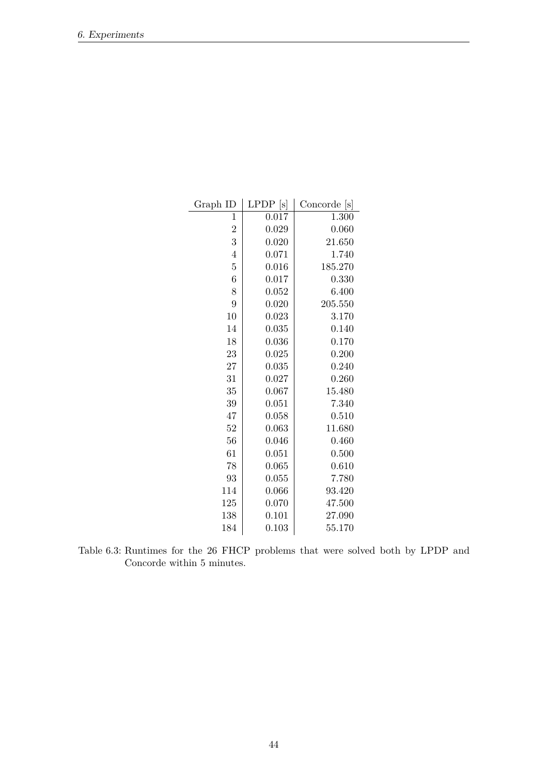| Graph ID       | <b>LPDP</b><br>[s] | Concorde [s] |
|----------------|--------------------|--------------|
| $\mathbf{1}$   | 0.017              | 1.300        |
| $\overline{2}$ | 0.029              | 0.060        |
| 3              | 0.020              | 21.650       |
| $\overline{4}$ | 0.071              | 1.740        |
| $\overline{5}$ | 0.016              | 185.270      |
| 6              | 0.017              | 0.330        |
| 8              | 0.052              | 6.400        |
| 9              | 0.020              | 205.550      |
| 10             | 0.023              | 3.170        |
| 14             | 0.035              | 0.140        |
| 18             | 0.036              | 0.170        |
| 23             | 0.025              | 0.200        |
| 27             | 0.035              | 0.240        |
| 31             | 0.027              | 0.260        |
| 35             | 0.067              | 15.480       |
| 39             | 0.051              | 7.340        |
| 47             | 0.058              | 0.510        |
| 52             | 0.063              | 11.680       |
| 56             | 0.046              | 0.460        |
| 61             | 0.051              | 0.500        |
| 78             | 0.065              | 0.610        |
| 93             | 0.055              | 7.780        |
| 114            | 0.066              | 93.420       |
| 125            | 0.070              | 47.500       |
| 138            | 0.101              | 27.090       |
| 184            | 0.103              | 55.170       |

<span id="page-51-0"></span>Table 6.3: Runtimes for the 26 FHCP problems that were solved both by LPDP and Concorde within 5 minutes.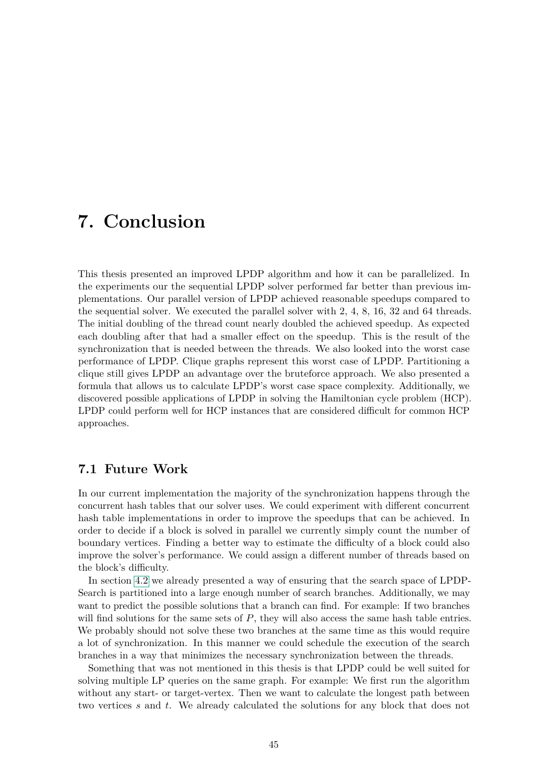## <span id="page-52-0"></span>**7. Conclusion**

This thesis presented an improved LPDP algorithm and how it can be parallelized. In the experiments our the sequential LPDP solver performed far better than previous implementations. Our parallel version of LPDP achieved reasonable speedups compared to the sequential solver. We executed the parallel solver with 2, 4, 8, 16, 32 and 64 threads. The initial doubling of the thread count nearly doubled the achieved speedup. As expected each doubling after that had a smaller effect on the speedup. This is the result of the synchronization that is needed between the threads. We also looked into the worst case performance of LPDP. Clique graphs represent this worst case of LPDP. Partitioning a clique still gives LPDP an advantage over the bruteforce approach. We also presented a formula that allows us to calculate LPDP's worst case space complexity. Additionally, we discovered possible applications of LPDP in solving the Hamiltonian cycle problem (HCP). LPDP could perform well for HCP instances that are considered difficult for common HCP approaches.

#### <span id="page-52-1"></span>**7.1 Future Work**

In our current implementation the majority of the synchronization happens through the concurrent hash tables that our solver uses. We could experiment with different concurrent hash table implementations in order to improve the speedups that can be achieved. In order to decide if a block is solved in parallel we currently simply count the number of boundary vertices. Finding a better way to estimate the difficulty of a block could also improve the solver's performance. We could assign a different number of threads based on the block's difficulty.

In section [4.2](#page-26-2) we already presented a way of ensuring that the search space of LPDP-Search is partitioned into a large enough number of search branches. Additionally, we may want to predict the possible solutions that a branch can find. For example: If two branches will find solutions for the same sets of *P*, they will also access the same hash table entries. We probably should not solve these two branches at the same time as this would require a lot of synchronization. In this manner we could schedule the execution of the search branches in a way that minimizes the necessary synchronization between the threads.

Something that was not mentioned in this thesis is that LPDP could be well suited for solving multiple LP queries on the same graph. For example: We first run the algorithm without any start- or target-vertex. Then we want to calculate the longest path between two vertices *s* and *t*. We already calculated the solutions for any block that does not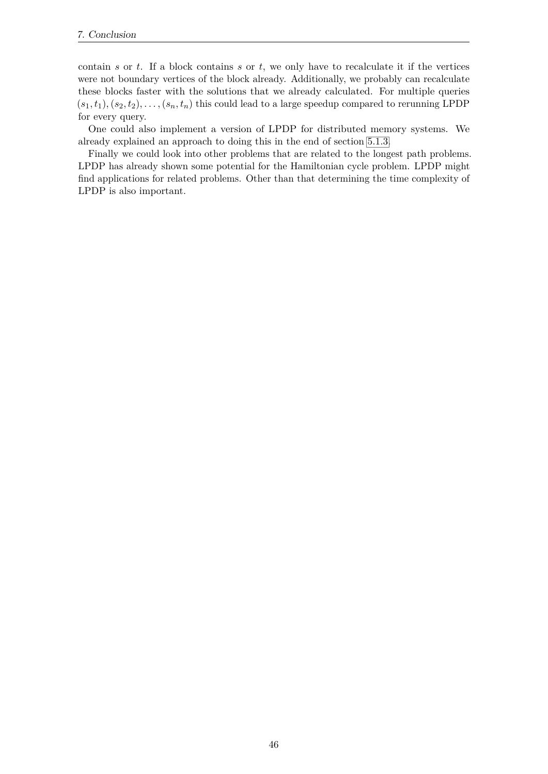contain *s* or *t*. If a block contains *s* or *t*, we only have to recalculate it if the vertices were not boundary vertices of the block already. Additionally, we probably can recalculate these blocks faster with the solutions that we already calculated. For multiple queries  $(s_1, t_1), (s_2, t_2), \ldots, (s_n, t_n)$  this could lead to a large speedup compared to rerunning LPDP for every query.

One could also implement a version of LPDP for distributed memory systems. We already explained an approach to doing this in the end of section [5.1.3.](#page-31-0)

Finally we could look into other problems that are related to the longest path problems. LPDP has already shown some potential for the Hamiltonian cycle problem. LPDP might find applications for related problems. Other than that determining the time complexity of LPDP is also important.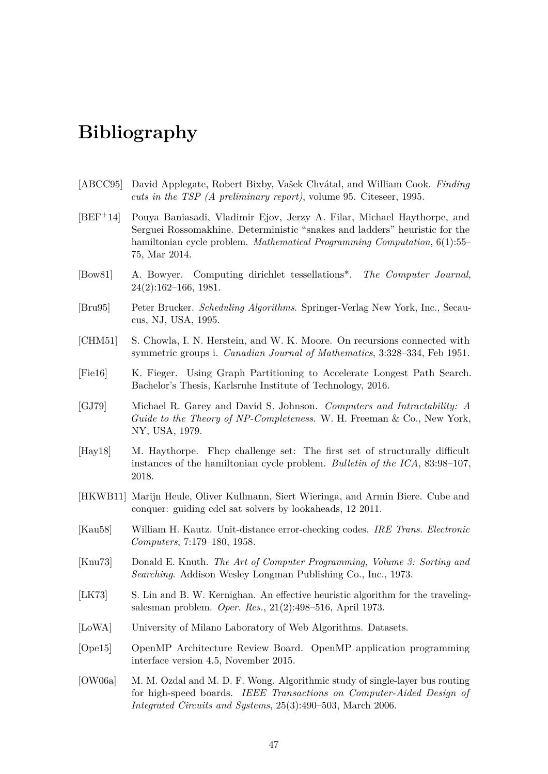## <span id="page-54-0"></span>**Bibliography**

- <span id="page-54-13"></span>[ABCC95] David Applegate, Robert Bixby, Vašek Chvátal, and William Cook. *Finding cuts in the TSP (A preliminary report)*, volume 95. Citeseer, 1995.
- <span id="page-54-14"></span>[BEF+14] Pouya Baniasadi, Vladimir Ejov, Jerzy A. Filar, Michael Haythorpe, and Serguei Rossomakhine. Deterministic "snakes and ladders" heuristic for the hamiltonian cycle problem. *Mathematical Programming Computation*, 6(1):55– 75, Mar 2014.
- <span id="page-54-10"></span>[Bow81] A. Bowyer. Computing dirichlet tessellations\*. *The Computer Journal*, 24(2):162–166, 1981.
- <span id="page-54-3"></span>[Bru95] Peter Brucker. *Scheduling Algorithms*. Springer-Verlag New York, Inc., Secaucus, NJ, USA, 1995.
- <span id="page-54-7"></span>[CHM51] S. Chowla, I. N. Herstein, and W. K. Moore. On recursions connected with symmetric groups i. *Canadian Journal of Mathematics*, 3:328–334, Feb 1951.
- <span id="page-54-4"></span>[Fie16] K. Fieger. Using Graph Partitioning to Accelerate Longest Path Search. Bachelor's Thesis, Karlsruhe Institute of Technology, 2016.
- <span id="page-54-1"></span>[GJ79] Michael R. Garey and David S. Johnson. *Computers and Intractability: A Guide to the Theory of NP-Completeness*. W. H. Freeman & Co., New York, NY, USA, 1979.
- <span id="page-54-12"></span>[Hay18] M. Haythorpe. Fhcp challenge set: The first set of structurally difficult instances of the hamiltonian cycle problem. *Bulletin of the ICA*, 83:98–107, 2018.
- <span id="page-54-8"></span>[HKWB11] Marijn Heule, Oliver Kullmann, Siert Wieringa, and Armin Biere. Cube and conquer: guiding cdcl sat solvers by lookaheads, 12 2011.
- <span id="page-54-5"></span>[Kau58] William H. Kautz. Unit-distance error-checking codes. *IRE Trans. Electronic Computers*, 7:179–180, 1958.
- <span id="page-54-6"></span>[Knu73] Donald E. Knuth. *The Art of Computer Programming, Volume 3: Sorting and Searching*. Addison Wesley Longman Publishing Co., Inc., 1973.
- <span id="page-54-15"></span>[LK73] S. Lin and B. W. Kernighan. An effective heuristic algorithm for the travelingsalesman problem. *Oper. Res.*, 21(2):498–516, April 1973.
- <span id="page-54-11"></span>[LoWA] University of Milano Laboratory of Web Algorithms. Datasets.
- <span id="page-54-9"></span>[Ope15] OpenMP Architecture Review Board. OpenMP application programming interface version 4.5, November 2015.
- <span id="page-54-2"></span>[OW06a] M. M. Ozdal and M. D. F. Wong. Algorithmic study of single-layer bus routing for high-speed boards. *IEEE Transactions on Computer-Aided Design of Integrated Circuits and Systems*, 25(3):490–503, March 2006.